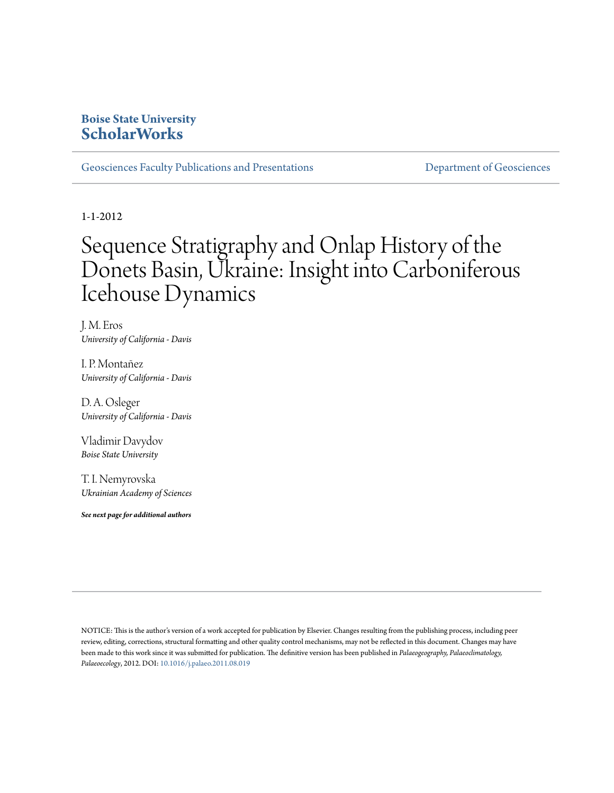# **Boise State University [ScholarWorks](https://scholarworks.boisestate.edu)**

[Geosciences Faculty Publications and Presentations](https://scholarworks.boisestate.edu/geo_facpubs) **[Department of Geosciences](https://scholarworks.boisestate.edu/geosciences)** 

1-1-2012

# Sequence Stratigraphy and Onlap History of the Donets Basin, Ukraine: Insight into Carboniferous Icehouse Dynamics

J. M. Eros *University of California - Davis*

I. P. Montañez *University of California - Davis*

D. A. Osleger *University of California - Davis*

Vladimir Davydov *Boise State University*

T. I. Nemyrovska *Ukrainian Academy of Sciences*

*See next page for additional authors*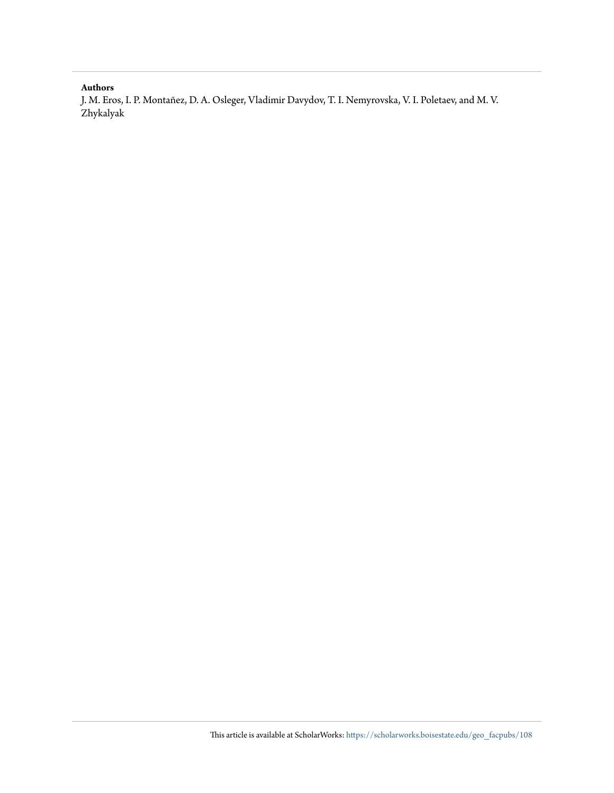# **Authors**

J. M. Eros, I. P. Montañez, D. A. Osleger, Vladimir Davydov, T. I. Nemyrovska, V. I. Poletaev, and M. V. Zhykalyak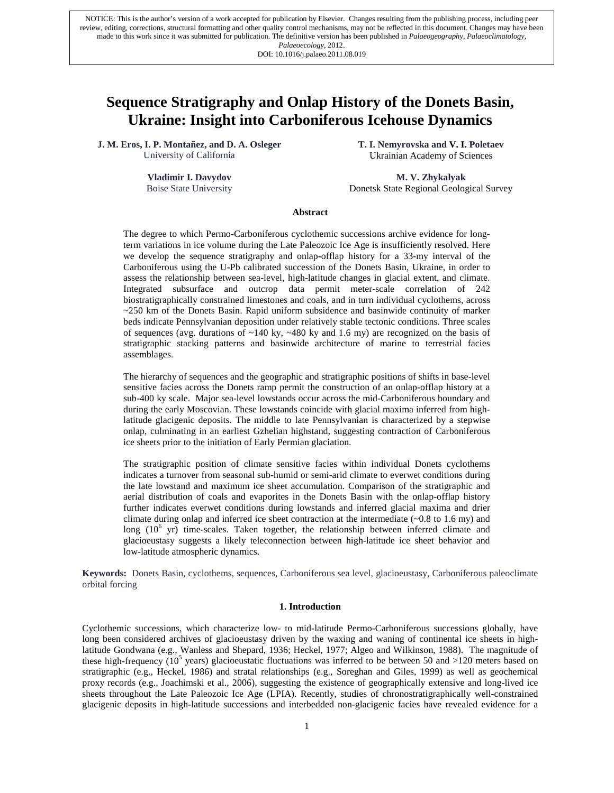made to this work since it was submitted for publication. The definitive version has been published in *Palaeogeography, Palaeoclimatology, Palaeocclogy*, 2012. NOTICE: This is the author's version of a work accepted for publication by Elsevier. Changes resulting from the publishing process, including peer review, editing, corrections, structural formatting and other quality control mechanisms, may not be reflected in this document. Changes may have been *Palaeoecology*, 2012. DOI: 10.1016/j.palaeo.2011.08.019

# **Sequence Stratigraphy and Onlap History of the Donets Basin, Ukraine: Insight into Carboniferous Icehouse Dynamics**

**J. M. Eros, I. P. Montañez, and D. A. Osleger** University of California

> **Vladimir I. Davydov** Boise State University

**T. I. Nemyrovska and V. I. Poletaev** Ukrainian Academy of Sciences

**M. V. Zhykalyak** Donetsk State Regional Geological Survey

# **Abstract**

The degree to which Permo-Carboniferous cyclothemic successions archive evidence for longterm variations in ice volume during the Late Paleozoic Ice Age is insufficiently resolved. Here we develop the sequence stratigraphy and onlap-offlap history for a 33-my interval of the Carboniferous using the U-Pb calibrated succession of the Donets Basin, Ukraine, in order to assess the relationship between sea-level, high-latitude changes in glacial extent, and climate. Integrated subsurface and outcrop data permit meter-scale correlation of 242 biostratigraphically constrained limestones and coals, and in turn individual cyclothems, across  $\sim$  250 km of the Donets Basin. Rapid uniform subsidence and basinwide continuity of marker beds indicate Pennsylvanian deposition under relatively stable tectonic conditions. Three scales of sequences (avg. durations of  $\sim$ 140 ky,  $\sim$ 480 ky and 1.6 my) are recognized on the basis of stratigraphic stacking patterns and basinwide architecture of marine to terrestrial facies assemblages.

The hierarchy of sequences and the geographic and stratigraphic positions of shifts in base-level sensitive facies across the Donets ramp permit the construction of an onlap-offlap history at a sub-400 ky scale. Major sea-level lowstands occur across the mid-Carboniferous boundary and during the early Moscovian. These lowstands coincide with glacial maxima inferred from highlatitude glacigenic deposits. The middle to late Pennsylvanian is characterized by a stepwise onlap, culminating in an earliest Gzhelian highstand, suggesting contraction of Carboniferous ice sheets prior to the initiation of Early Permian glaciation.

The stratigraphic position of climate sensitive facies within individual Donets cyclothems indicates a turnover from seasonal sub-humid or semi-arid climate to everwet conditions during the late lowstand and maximum ice sheet accumulation. Comparison of the stratigraphic and aerial distribution of coals and evaporites in the Donets Basin with the onlap-offlap history further indicates everwet conditions during lowstands and inferred glacial maxima and drier climate during onlap and inferred ice sheet contraction at the intermediate  $(-0.8 \text{ to } 1.6 \text{ m})$  and long  $(10^6 \text{ yr})$  time-scales. Taken together, the relationship between inferred climate and glacioeustasy suggests a likely teleconnection between high-latitude ice sheet behavior and low-latitude atmospheric dynamics.

**Keywords:** Donets Basin, cyclothems, sequences, Carboniferous sea level, glacioeustasy, Carboniferous paleoclimate orbital forcing

#### **1. Introduction**

Cyclothemic successions, which characterize low- to mid-latitude Permo-Carboniferous successions globally, have long been considered archives of glacioeustasy driven by the waxing and waning of continental ice sheets in highlatitude Gondwana (e.g., Wanless and Shepard, 1936; Heckel, 1977; Algeo and Wilkinson, 1988). The magnitude of these high-frequency ( $10^5$  years) glacioeustatic fluctuations was inferred to be between 50 and >120 meters based on stratigraphic (e.g., Heckel, 1986) and stratal relationships (e.g., Soreghan and Giles, 1999) as well as geochemical proxy records (e.g., Joachimski et al., 2006), suggesting the existence of geographically extensive and long-lived ice sheets throughout the Late Paleozoic Ice Age (LPIA). Recently, studies of chronostratigraphically well-constrained glacigenic deposits in high-latitude successions and interbedded non-glacigenic facies have revealed evidence for a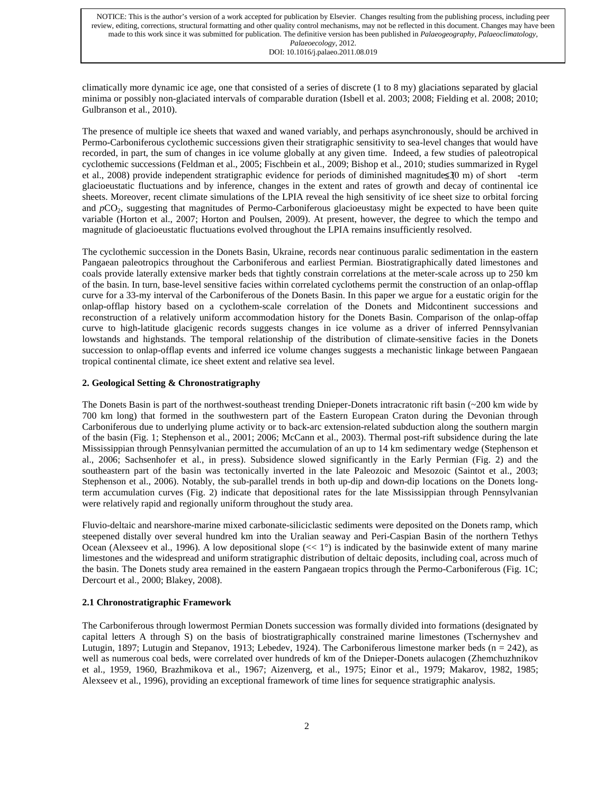climatically more dynamic ice age, one that consisted of a series of discrete (1 to 8 my) glaciations separated by glacial minima or possibly non-glaciated intervals of comparable duration (Isbell et al. 2003; 2008; Fielding et al. 2008; 2010; Gulbranson et al., 2010).

The presence of multiple ice sheets that waxed and waned variably, and perhaps asynchronously, should be archived in Permo-Carboniferous cyclothemic successions given their stratigraphic sensitivity to sea-level changes that would have recorded, in part, the sum of changes in ice volume globally at any given time. Indeed, a few studies of paleotropical cyclothemic successions (Feldman et al., 2005; Fischbein et al., 2009; Bishop et al., 2010; studies summarized in Rygel et al., 2008) provide independent stratigraphic evidence for periods of diminished magnitudes  $30 \text{ m}$  of short -term glacioeustatic fluctuations and by inference, changes in the extent and rates of growth and decay of continental ice sheets. Moreover, recent climate simulations of the LPIA reveal the high sensitivity of ice sheet size to orbital forcing and *p*CO<sub>2</sub>, suggesting that magnitudes of Permo-Carboniferous glacioeustasy might be expected to have been quite variable (Horton et al., 2007; Horton and Poulsen, 2009). At present, however, the degree to which the tempo and magnitude of glacioeustatic fluctuations evolved throughout the LPIA remains insufficiently resolved.

The cyclothemic succession in the Donets Basin, Ukraine, records near continuous paralic sedimentation in the eastern Pangaean paleotropics throughout the Carboniferous and earliest Permian. Biostratigraphically dated limestones and coals provide laterally extensive marker beds that tightly constrain correlations at the meter-scale across up to 250 km of the basin. In turn, base-level sensitive facies within correlated cyclothems permit the construction of an onlap-offlap curve for a 33-my interval of the Carboniferous of the Donets Basin. In this paper we argue for a eustatic origin for the onlap-offlap history based on a cyclothem-scale correlation of the Donets and Midcontinent successions and reconstruction of a relatively uniform accommodation history for the Donets Basin. Comparison of the onlap-offap curve to high-latitude glacigenic records suggests changes in ice volume as a driver of inferred Pennsylvanian lowstands and highstands. The temporal relationship of the distribution of climate-sensitive facies in the Donets succession to onlap-offlap events and inferred ice volume changes suggests a mechanistic linkage between Pangaean tropical continental climate, ice sheet extent and relative sea level.

# **2. Geological Setting & Chronostratigraphy**

The Donets Basin is part of the northwest-southeast trending Dnieper-Donets intracratonic rift basin (~200 km wide by 700 km long) that formed in the southwestern part of the Eastern European Craton during the Devonian through Carboniferous due to underlying plume activity or to back-arc extension-related subduction along the southern margin of the basin (Fig. 1; Stephenson et al., 2001; 2006; McCann et al., 2003). Thermal post-rift subsidence during the late Mississippian through Pennsylvanian permitted the accumulation of an up to 14 km sedimentary wedge (Stephenson et al., 2006; Sachsenhofer et al., in press). Subsidence slowed significantly in the Early Permian (Fig. 2) and the southeastern part of the basin was tectonically inverted in the late Paleozoic and Mesozoic (Saintot et al., 2003; Stephenson et al., 2006). Notably, the sub-parallel trends in both up-dip and down-dip locations on the Donets longterm accumulation curves (Fig. 2) indicate that depositional rates for the late Mississippian through Pennsylvanian were relatively rapid and regionally uniform throughout the study area.

Fluvio-deltaic and nearshore-marine mixed carbonate-siliciclastic sediments were deposited on the Donets ramp, which steepened distally over several hundred km into the Uralian seaway and Peri-Caspian Basin of the northern Tethys Ocean (Alexseev et al., 1996). A low depositional slope  $\ll 1^{\circ}$  is indicated by the basinwide extent of many marine limestones and the widespread and uniform stratigraphic distribution of deltaic deposits, including coal, across much of the basin. The Donets study area remained in the eastern Pangaean tropics through the Permo-Carboniferous (Fig. 1C; Dercourt et al., 2000; Blakey, 2008).

# **2.1 Chronostratigraphic Framework**

The Carboniferous through lowermost Permian Donets succession was formally divided into formations (designated by capital letters A through S) on the basis of biostratigraphically constrained marine limestones (Tschernyshev and Lutugin, 1897; Lutugin and Stepanov, 1913; Lebedev, 1924). The Carboniferous limestone marker beds (n = 242), as well as numerous coal beds, were correlated over hundreds of km of the Dnieper-Donets aulacogen (Zhemchuzhnikov et al., 1959, 1960, Brazhmikova et al., 1967; Aizenverg, et al., 1975; Einor et al., 1979; Makarov, 1982, 1985; Alexseev et al., 1996), providing an exceptional framework of time lines for sequence stratigraphic analysis.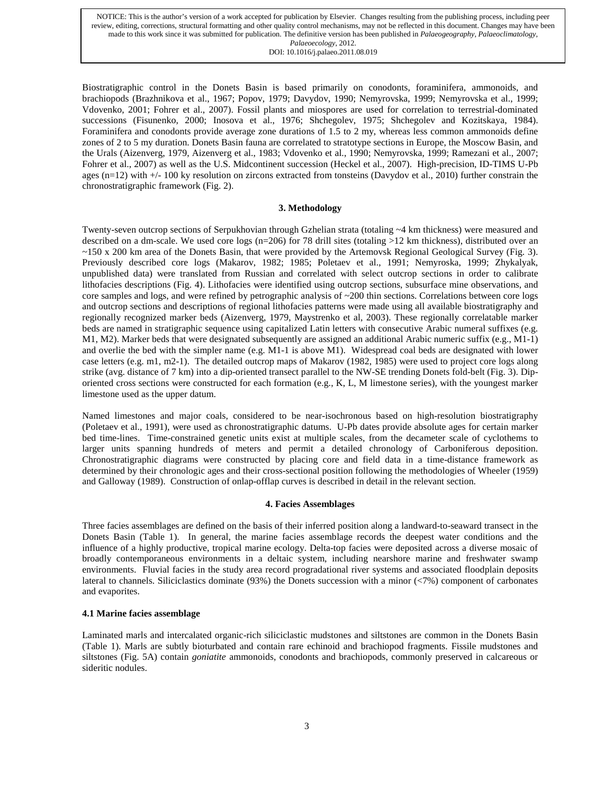Biostratigraphic control in the Donets Basin is based primarily on conodonts, foraminifera, ammonoids, and brachiopods (Brazhnikova et al., 1967; Popov, 1979; Davydov, 1990; Nemyrovska, 1999; Nemyrovska et al., 1999; Vdovenko, 2001; Fohrer et al., 2007). Fossil plants and miospores are used for correlation to terrestrial-dominated successions (Fisunenko, 2000; Inosova et al., 1976; Shchegolev, 1975; Shchegolev and Kozitskaya, 1984). Foraminifera and conodonts provide average zone durations of 1.5 to 2 my, whereas less common ammonoids define zones of 2 to 5 my duration. Donets Basin fauna are correlated to stratotype sections in Europe, the Moscow Basin, and the Urals (Aizenverg, 1979, Aizenverg et al., 1983; Vdovenko et al., 1990; Nemyrovska, 1999; Ramezani et al., 2007; Fohrer et al., 2007) as well as the U.S. Midcontinent succession (Heckel et al., 2007). High-precision, ID-TIMS U-Pb ages  $(n=12)$  with  $+/-100$  ky resolution on zircons extracted from tonsteins (Davydov et al., 2010) further constrain the chronostratigraphic framework (Fig. 2).

#### **3. Methodology**

Twenty-seven outcrop sections of Serpukhovian through Gzhelian strata (totaling ~4 km thickness) were measured and described on a dm-scale. We used core logs ( $n=206$ ) for 78 drill sites (totaling  $>12$  km thickness), distributed over an ~150 x 200 km area of the Donets Basin, that were provided by the Artemovsk Regional Geological Survey (Fig. 3). Previously described core logs (Makarov, 1982; 1985; Poletaev et al., 1991; Nemyroska, 1999; Zhykalyak, unpublished data) were translated from Russian and correlated with select outcrop sections in order to calibrate lithofacies descriptions (Fig. 4). Lithofacies were identified using outcrop sections, subsurface mine observations, and core samples and logs, and were refined by petrographic analysis of  $\sim 200$  thin sections. Correlations between core logs and outcrop sections and descriptions of regional lithofacies patterns were made using all available biostratigraphy and regionally recognized marker beds (Aizenverg, 1979, Maystrenko et al, 2003). These regionally correlatable marker beds are named in stratigraphic sequence using capitalized Latin letters with consecutive Arabic numeral suffixes (e.g. M1, M2). Marker beds that were designated subsequently are assigned an additional Arabic numeric suffix (e.g., M1-1) and overlie the bed with the simpler name (e.g. M1-1 is above M1). Widespread coal beds are designated with lower case letters (e.g. m1, m2-1). The detailed outcrop maps of Makarov (1982, 1985) were used to project core logs along strike (avg. distance of 7 km) into a dip-oriented transect parallel to the NW-SE trending Donets fold-belt (Fig. 3). Diporiented cross sections were constructed for each formation (e.g., K, L, M limestone series), with the youngest marker limestone used as the upper datum.

Named limestones and major coals, considered to be near-isochronous based on high-resolution biostratigraphy (Poletaev et al., 1991), were used as chronostratigraphic datums. U-Pb dates provide absolute ages for certain marker bed time-lines. Time-constrained genetic units exist at multiple scales, from the decameter scale of cyclothems to larger units spanning hundreds of meters and permit a detailed chronology of Carboniferous deposition. Chronostratigraphic diagrams were constructed by placing core and field data in a time-distance framework as determined by their chronologic ages and their cross-sectional position following the methodologies of Wheeler (1959) and Galloway (1989). Construction of onlap-offlap curves is described in detail in the relevant section.

# **4. Facies Assemblages**

Three facies assemblages are defined on the basis of their inferred position along a landward-to-seaward transect in the Donets Basin (Table 1). In general, the marine facies assemblage records the deepest water conditions and the influence of a highly productive, tropical marine ecology. Delta-top facies were deposited across a diverse mosaic of broadly contemporaneous environments in a deltaic system, including nearshore marine and freshwater swamp environments. Fluvial facies in the study area record progradational river systems and associated floodplain deposits lateral to channels. Siliciclastics dominate (93%) the Donets succession with a minor (<7%) component of carbonates and evaporites.

# **4.1 Marine facies assemblage**

Laminated marls and intercalated organic-rich siliciclastic mudstones and siltstones are common in the Donets Basin (Table 1). Marls are subtly bioturbated and contain rare echinoid and brachiopod fragments. Fissile mudstones and siltstones (Fig. 5A) contain *goniatite* ammonoids, conodonts and brachiopods, commonly preserved in calcareous or sideritic nodules.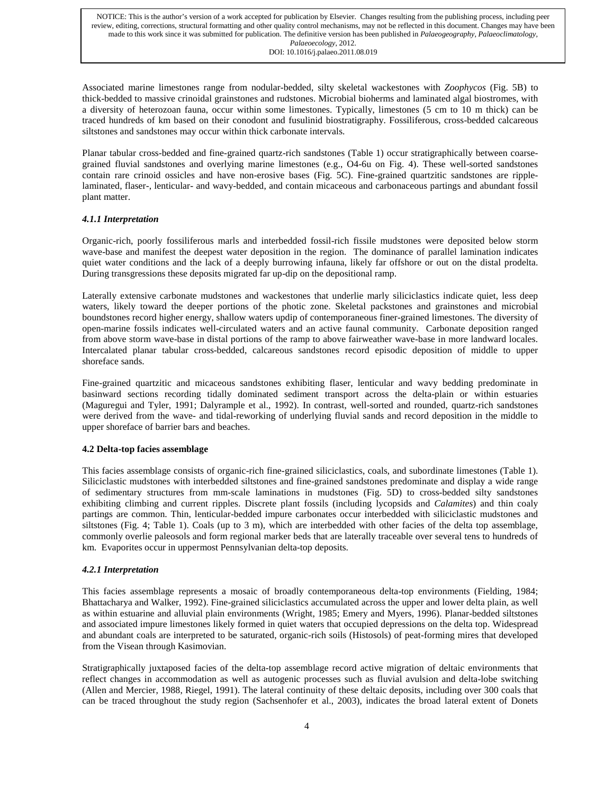Associated marine limestones range from nodular-bedded, silty skeletal wackestones with *Zoophycos* (Fig. 5B) to thick-bedded to massive crinoidal grainstones and rudstones. Microbial bioherms and laminated algal biostromes, with a diversity of heterozoan fauna, occur within some limestones. Typically, limestones (5 cm to 10 m thick) can be traced hundreds of km based on their conodont and fusulinid biostratigraphy. Fossiliferous, cross-bedded calcareous siltstones and sandstones may occur within thick carbonate intervals.

Planar tabular cross-bedded and fine-grained quartz-rich sandstones (Table 1) occur stratigraphically between coarsegrained fluvial sandstones and overlying marine limestones (e.g., O4-6u on Fig. 4). These well-sorted sandstones contain rare crinoid ossicles and have non-erosive bases (Fig. 5C). Fine-grained quartzitic sandstones are ripplelaminated, flaser-, lenticular- and wavy-bedded, and contain micaceous and carbonaceous partings and abundant fossil plant matter.

# *4.1.1 Interpretation*

Organic-rich, poorly fossiliferous marls and interbedded fossil-rich fissile mudstones were deposited below storm wave-base and manifest the deepest water deposition in the region. The dominance of parallel lamination indicates quiet water conditions and the lack of a deeply burrowing infauna, likely far offshore or out on the distal prodelta. During transgressions these deposits migrated far up-dip on the depositional ramp.

Laterally extensive carbonate mudstones and wackestones that underlie marly siliciclastics indicate quiet, less deep waters, likely toward the deeper portions of the photic zone. Skeletal packstones and grainstones and microbial boundstones record higher energy, shallow waters updip of contemporaneous finer-grained limestones. The diversity of open-marine fossils indicates well-circulated waters and an active faunal community. Carbonate deposition ranged from above storm wave-base in distal portions of the ramp to above fairweather wave-base in more landward locales. Intercalated planar tabular cross-bedded, calcareous sandstones record episodic deposition of middle to upper shoreface sands.

Fine-grained quartzitic and micaceous sandstones exhibiting flaser, lenticular and wavy bedding predominate in basinward sections recording tidally dominated sediment transport across the delta-plain or within estuaries (Maguregui and Tyler, 1991; Dalyrample et al., 1992). In contrast, well-sorted and rounded, quartz-rich sandstones were derived from the wave- and tidal-reworking of underlying fluvial sands and record deposition in the middle to upper shoreface of barrier bars and beaches.

# **4.2 Delta-top facies assemblage**

This facies assemblage consists of organic-rich fine-grained siliciclastics, coals, and subordinate limestones (Table 1). Siliciclastic mudstones with interbedded siltstones and fine-grained sandstones predominate and display a wide range of sedimentary structures from mm-scale laminations in mudstones (Fig. 5D) to cross-bedded silty sandstones exhibiting climbing and current ripples. Discrete plant fossils (including lycopsids and *Calamites*) and thin coaly partings are common. Thin, lenticular-bedded impure carbonates occur interbedded with siliciclastic mudstones and siltstones (Fig. 4; Table 1). Coals (up to 3 m), which are interbedded with other facies of the delta top assemblage, commonly overlie paleosols and form regional marker beds that are laterally traceable over several tens to hundreds of km. Evaporites occur in uppermost Pennsylvanian delta-top deposits.

# *4.2.1 Interpretation*

This facies assemblage represents a mosaic of broadly contemporaneous delta-top environments (Fielding, 1984; Bhattacharya and Walker, 1992). Fine-grained siliciclastics accumulated across the upper and lower delta plain, as well as within estuarine and alluvial plain environments (Wright, 1985; Emery and Myers, 1996). Planar-bedded siltstones and associated impure limestones likely formed in quiet waters that occupied depressions on the delta top. Widespread and abundant coals are interpreted to be saturated, organic-rich soils (Histosols) of peat-forming mires that developed from the Visean through Kasimovian.

Stratigraphically juxtaposed facies of the delta-top assemblage record active migration of deltaic environments that reflect changes in accommodation as well as autogenic processes such as fluvial avulsion and delta-lobe switching (Allen and Mercier, 1988, Riegel, 1991). The lateral continuity of these deltaic deposits, including over 300 coals that can be traced throughout the study region (Sachsenhofer et al., 2003), indicates the broad lateral extent of Donets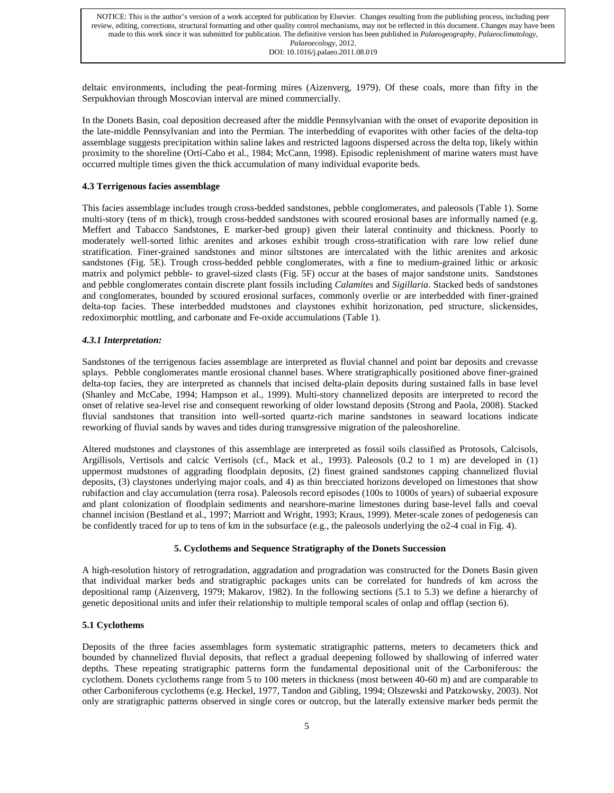deltaic environments, including the peat-forming mires (Aizenverg, 1979). Of these coals, more than fifty in the Serpukhovian through Moscovian interval are mined commercially.

In the Donets Basin, coal deposition decreased after the middle Pennsylvanian with the onset of evaporite deposition in the late-middle Pennsylvanian and into the Permian. The interbedding of evaporites with other facies of the delta-top assemblage suggests precipitation within saline lakes and restricted lagoons dispersed across the delta top, likely within proximity to the shoreline (Ortí-Cabo et al., 1984; McCann, 1998). Episodic replenishment of marine waters must have occurred multiple times given the thick accumulation of many individual evaporite beds.

# **4.3 Terrigenous facies assemblage**

This facies assemblage includes trough cross-bedded sandstones, pebble conglomerates, and paleosols (Table 1). Some multi-story (tens of m thick), trough cross-bedded sandstones with scoured erosional bases are informally named (e.g. Meffert and Tabacco Sandstones, E marker-bed group) given their lateral continuity and thickness. Poorly to moderately well-sorted lithic arenites and arkoses exhibit trough cross-stratification with rare low relief dune stratification. Finer-grained sandstones and minor siltstones are intercalated with the lithic arenites and arkosic sandstones (Fig. 5E). Trough cross-bedded pebble conglomerates, with a fine to medium-grained lithic or arkosic matrix and polymict pebble- to gravel-sized clasts (Fig. 5F) occur at the bases of major sandstone units. Sandstones and pebble conglomerates contain discrete plant fossils including *Calamites* and *Sigillaria*. Stacked beds of sandstones and conglomerates, bounded by scoured erosional surfaces, commonly overlie or are interbedded with finer-grained delta-top facies. These interbedded mudstones and claystones exhibit horizonation, ped structure, slickensides, redoximorphic mottling, and carbonate and Fe-oxide accumulations (Table 1).

# *4.3.1 Interpretation:*

Sandstones of the terrigenous facies assemblage are interpreted as fluvial channel and point bar deposits and crevasse splays. Pebble conglomerates mantle erosional channel bases. Where stratigraphically positioned above finer-grained delta-top facies, they are interpreted as channels that incised delta-plain deposits during sustained falls in base level (Shanley and McCabe, 1994; Hampson et al., 1999). Multi-story channelized deposits are interpreted to record the onset of relative sea-level rise and consequent reworking of older lowstand deposits (Strong and Paola, 2008). Stacked fluvial sandstones that transition into well-sorted quartz-rich marine sandstones in seaward locations indicate reworking of fluvial sands by waves and tides during transgressive migration of the paleoshoreline.

Altered mudstones and claystones of this assemblage are interpreted as fossil soils classified as Protosols, Calcisols, Argillisols, Vertisols and calcic Vertisols (cf., Mack et al., 1993). Paleosols (0.2 to 1 m) are developed in (1) uppermost mudstones of aggrading floodplain deposits, (2) finest grained sandstones capping channelized fluvial deposits, (3) claystones underlying major coals, and 4) as thin brecciated horizons developed on limestones that show rubifaction and clay accumulation (terra rosa). Paleosols record episodes (100s to 1000s of years) of subaerial exposure and plant colonization of floodplain sediments and nearshore-marine limestones during base-level falls and coeval channel incision (Bestland et al., 1997; Marriott and Wright, 1993; Kraus, 1999). Meter-scale zones of pedogenesis can be confidently traced for up to tens of km in the subsurface (e.g., the paleosols underlying the o2-4 coal in Fig. 4).

# **5. Cyclothems and Sequence Stratigraphy of the Donets Succession**

A high-resolution history of retrogradation, aggradation and progradation was constructed for the Donets Basin given that individual marker beds and stratigraphic packages units can be correlated for hundreds of km across the depositional ramp (Aizenverg, 1979; Makarov, 1982). In the following sections (5.1 to 5.3) we define a hierarchy of genetic depositional units and infer their relationship to multiple temporal scales of onlap and offlap (section 6).

# **5.1 Cyclothems**

Deposits of the three facies assemblages form systematic stratigraphic patterns, meters to decameters thick and bounded by channelized fluvial deposits, that reflect a gradual deepening followed by shallowing of inferred water depths. These repeating stratigraphic patterns form the fundamental depositional unit of the Carboniferous: the cyclothem. Donets cyclothems range from 5 to 100 meters in thickness (most between 40-60 m) and are comparable to other Carboniferous cyclothems (e.g. Heckel, 1977, Tandon and Gibling, 1994; Olszewski and Patzkowsky, 2003). Not only are stratigraphic patterns observed in single cores or outcrop, but the laterally extensive marker beds permit the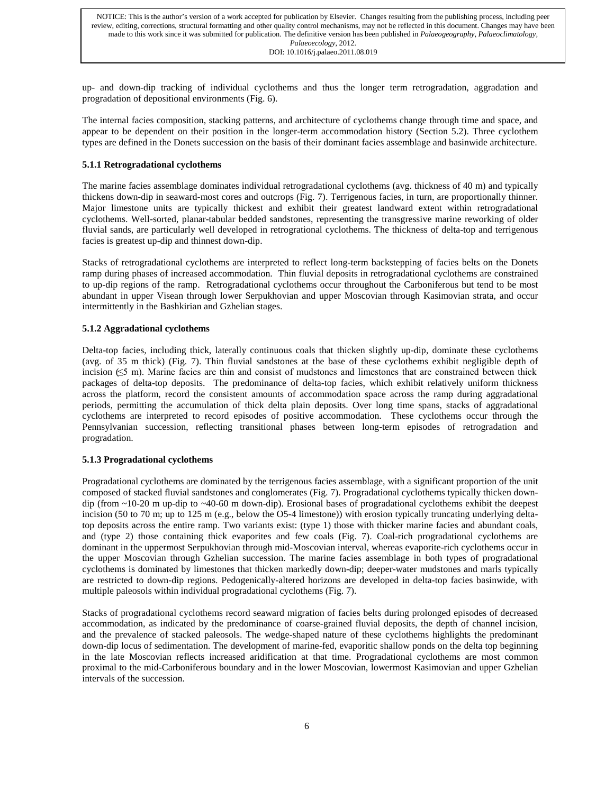up- and down-dip tracking of individual cyclothems and thus the longer term retrogradation, aggradation and progradation of depositional environments (Fig. 6).

The internal facies composition, stacking patterns, and architecture of cyclothems change through time and space, and appear to be dependent on their position in the longer-term accommodation history (Section 5.2). Three cyclothem types are defined in the Donets succession on the basis of their dominant facies assemblage and basinwide architecture.

# **5.1.1 Retrogradational cyclothems**

The marine facies assemblage dominates individual retrogradational cyclothems (avg. thickness of 40 m) and typically thickens down-dip in seaward-most cores and outcrops (Fig. 7). Terrigenous facies, in turn, are proportionally thinner. Major limestone units are typically thickest and exhibit their greatest landward extent within retrogradational cyclothems. Well-sorted, planar-tabular bedded sandstones, representing the transgressive marine reworking of older fluvial sands, are particularly well developed in retrogrational cyclothems. The thickness of delta-top and terrigenous facies is greatest up-dip and thinnest down-dip.

Stacks of retrogradational cyclothems are interpreted to reflect long-term backstepping of facies belts on the Donets ramp during phases of increased accommodation. Thin fluvial deposits in retrogradational cyclothems are constrained to up-dip regions of the ramp. Retrogradational cyclothems occur throughout the Carboniferous but tend to be most abundant in upper Visean through lower Serpukhovian and upper Moscovian through Kasimovian strata, and occur intermittently in the Bashkirian and Gzhelian stages.

# **5.1.2 Aggradational cyclothems**

Delta-top facies, including thick, laterally continuous coals that thicken slightly up-dip, dominate these cyclothems (avg. of 35 m thick) (Fig. 7). Thin fluvial sandstones at the base of these cyclothems exhibit negligible depth of incision  $(\leq 5 \text{ m})$ . Marine facies are thin and consist of mudstones and limestones that are constrained between thick packages of delta-top deposits. The predominance of delta-top facies, which exhibit relatively uniform thickness across the platform, record the consistent amounts of accommodation space across the ramp during aggradational periods, permitting the accumulation of thick delta plain deposits. Over long time spans, stacks of aggradational cyclothems are interpreted to record episodes of positive accommodation. These cyclothems occur through the Pennsylvanian succession, reflecting transitional phases between long-term episodes of retrogradation and progradation.

# **5.1.3 Progradational cyclothems**

Progradational cyclothems are dominated by the terrigenous facies assemblage, with a significant proportion of the unit composed of stacked fluvial sandstones and conglomerates (Fig. 7). Progradational cyclothems typically thicken downdip (from ~10-20 m up-dip to ~40-60 m down-dip). Erosional bases of progradational cyclothems exhibit the deepest incision (50 to 70 m; up to 125 m (e.g., below the O5-4 limestone)) with erosion typically truncating underlying deltatop deposits across the entire ramp. Two variants exist: (type 1) those with thicker marine facies and abundant coals, and (type 2) those containing thick evaporites and few coals (Fig. 7). Coal-rich progradational cyclothems are dominant in the uppermost Serpukhovian through mid-Moscovian interval, whereas evaporite-rich cyclothems occur in the upper Moscovian through Gzhelian succession. The marine facies assemblage in both types of progradational cyclothems is dominated by limestones that thicken markedly down-dip; deeper-water mudstones and marls typically are restricted to down-dip regions. Pedogenically-altered horizons are developed in delta-top facies basinwide, with multiple paleosols within individual progradational cyclothems (Fig. 7).

Stacks of progradational cyclothems record seaward migration of facies belts during prolonged episodes of decreased accommodation, as indicated by the predominance of coarse-grained fluvial deposits, the depth of channel incision, and the prevalence of stacked paleosols. The wedge-shaped nature of these cyclothems highlights the predominant down-dip locus of sedimentation. The development of marine-fed, evaporitic shallow ponds on the delta top beginning in the late Moscovian reflects increased aridification at that time. Progradational cyclothems are most common proximal to the mid-Carboniferous boundary and in the lower Moscovian, lowermost Kasimovian and upper Gzhelian intervals of the succession.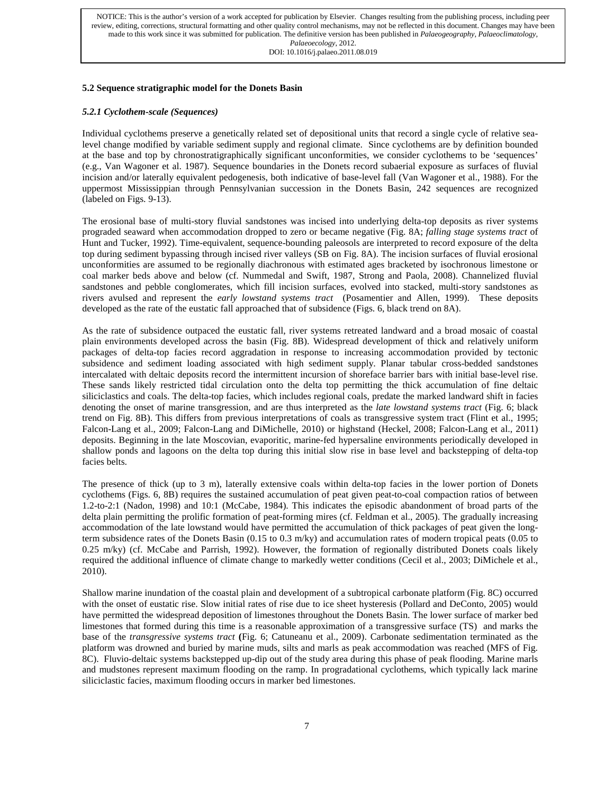# **5.2 Sequence stratigraphic model for the Donets Basin**

## *5.2.1 Cyclothem-scale (Sequences)*

Individual cyclothems preserve a genetically related set of depositional units that record a single cycle of relative sealevel change modified by variable sediment supply and regional climate. Since cyclothems are by definition bounded at the base and top by chronostratigraphically significant unconformities, we consider cyclothems to be 'sequences' (e.g., Van Wagoner et al. 1987). Sequence boundaries in the Donets record subaerial exposure as surfaces of fluvial incision and/or laterally equivalent pedogenesis, both indicative of base-level fall (Van Wagoner et al., 1988). For the uppermost Mississippian through Pennsylvanian succession in the Donets Basin, 242 sequences are recognized (labeled on Figs. 9-13).

The erosional base of multi-story fluvial sandstones was incised into underlying delta-top deposits as river systems prograded seaward when accommodation dropped to zero or became negative (Fig. 8A; *falling stage systems tract* of Hunt and Tucker, 1992). Time-equivalent, sequence-bounding paleosols are interpreted to record exposure of the delta top during sediment bypassing through incised river valleys (SB on Fig. 8A). The incision surfaces of fluvial erosional unconformities are assumed to be regionally diachronous with estimated ages bracketed by isochronous limestone or coal marker beds above and below (cf. Nummedal and Swift, 1987, Strong and Paola, 2008). Channelized fluvial sandstones and pebble conglomerates, which fill incision surfaces, evolved into stacked, multi-story sandstones as rivers avulsed and represent the *early lowstand systems tract* (Posamentier and Allen, 1999). These deposits developed as the rate of the eustatic fall approached that of subsidence (Figs. 6, black trend on 8A).

As the rate of subsidence outpaced the eustatic fall, river systems retreated landward and a broad mosaic of coastal plain environments developed across the basin (Fig. 8B). Widespread development of thick and relatively uniform packages of delta-top facies record aggradation in response to increasing accommodation provided by tectonic subsidence and sediment loading associated with high sediment supply. Planar tabular cross-bedded sandstones intercalated with deltaic deposits record the intermittent incursion of shoreface barrier bars with initial base-level rise. These sands likely restricted tidal circulation onto the delta top permitting the thick accumulation of fine deltaic siliciclastics and coals. The delta-top facies, which includes regional coals, predate the marked landward shift in facies denoting the onset of marine transgression, and are thus interpreted as the *late lowstand systems tract* (Fig. 6; black trend on Fig. 8B). This differs from previous interpretations of coals as transgressive system tract (Flint et al., 1995; Falcon-Lang et al., 2009; Falcon-Lang and DiMichelle, 2010) or highstand (Heckel, 2008; Falcon-Lang et al., 2011) deposits. Beginning in the late Moscovian, evaporitic, marine-fed hypersaline environments periodically developed in shallow ponds and lagoons on the delta top during this initial slow rise in base level and backstepping of delta-top facies belts.

The presence of thick (up to 3 m), laterally extensive coals within delta-top facies in the lower portion of Donets cyclothems (Figs. 6, 8B) requires the sustained accumulation of peat given peat-to-coal compaction ratios of between 1.2-to-2:1 (Nadon, 1998) and 10:1 (McCabe, 1984). This indicates the episodic abandonment of broad parts of the delta plain permitting the prolific formation of peat-forming mires (cf. Feldman et al., 2005). The gradually increasing accommodation of the late lowstand would have permitted the accumulation of thick packages of peat given the longterm subsidence rates of the Donets Basin (0.15 to 0.3 m/ky) and accumulation rates of modern tropical peats (0.05 to 0.25 m/ky) (cf. McCabe and Parrish, 1992). However, the formation of regionally distributed Donets coals likely required the additional influence of climate change to markedly wetter conditions (Cecil et al., 2003; DiMichele et al., 2010).

Shallow marine inundation of the coastal plain and development of a subtropical carbonate platform (Fig. 8C) occurred with the onset of eustatic rise. Slow initial rates of rise due to ice sheet hysteresis (Pollard and DeConto, 2005) would have permitted the widespread deposition of limestones throughout the Donets Basin. The lower surface of marker bed limestones that formed during this time is a reasonable approximation of a transgressive surface (TS) and marks the base of the *transgressive systems tract* **(**Fig. 6; Catuneanu et al., 2009). Carbonate sedimentation terminated as the platform was drowned and buried by marine muds, silts and marls as peak accommodation was reached (MFS of Fig. 8C). Fluvio-deltaic systems backstepped up-dip out of the study area during this phase of peak flooding. Marine marls and mudstones represent maximum flooding on the ramp. In progradational cyclothems, which typically lack marine siliciclastic facies, maximum flooding occurs in marker bed limestones.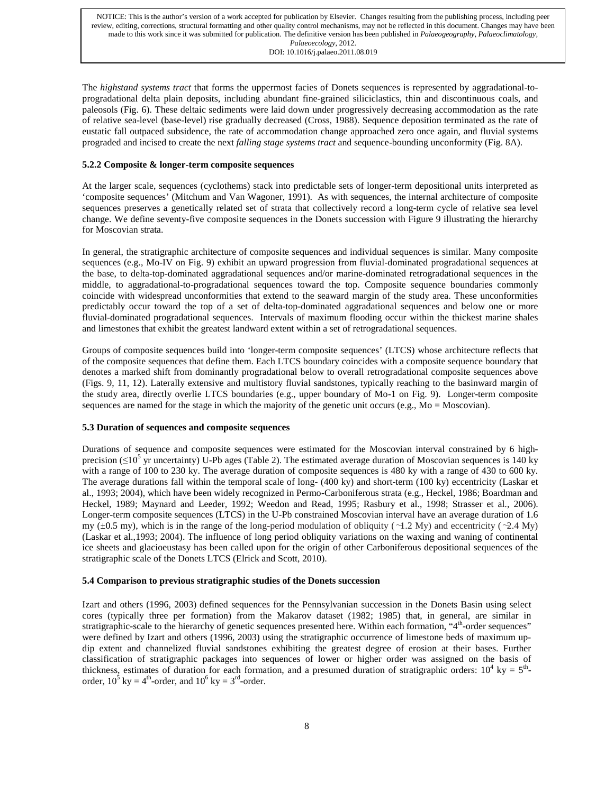The *highstand systems tract* that forms the uppermost facies of Donets sequences is represented by aggradational-toprogradational delta plain deposits, including abundant fine-grained siliciclastics, thin and discontinuous coals, and paleosols (Fig. 6). These deltaic sediments were laid down under progressively decreasing accommodation as the rate of relative sea-level (base-level) rise gradually decreased (Cross, 1988). Sequence deposition terminated as the rate of eustatic fall outpaced subsidence, the rate of accommodation change approached zero once again, and fluvial systems prograded and incised to create the next *falling stage systems tract* and sequence-bounding unconformity (Fig. 8A).

# **5.2.2 Composite & longer-term composite sequences**

At the larger scale, sequences (cyclothems) stack into predictable sets of longer-term depositional units interpreted as 'composite sequences' (Mitchum and Van Wagoner, 1991). As with sequences, the internal architecture of composite sequences preserves a genetically related set of strata that collectively record a long-term cycle of relative sea level change. We define seventy-five composite sequences in the Donets succession with Figure 9 illustrating the hierarchy for Moscovian strata.

In general, the stratigraphic architecture of composite sequences and individual sequences is similar. Many composite sequences (e.g., Mo-IV on Fig. 9) exhibit an upward progression from fluvial-dominated progradational sequences at the base, to delta-top-dominated aggradational sequences and/or marine-dominated retrogradational sequences in the middle, to aggradational-to-progradational sequences toward the top. Composite sequence boundaries commonly coincide with widespread unconformities that extend to the seaward margin of the study area. These unconformities predictably occur toward the top of a set of delta-top-dominated aggradational sequences and below one or more fluvial-dominated progradational sequences. Intervals of maximum flooding occur within the thickest marine shales and limestones that exhibit the greatest landward extent within a set of retrogradational sequences.

Groups of composite sequences build into 'longer-term composite sequences' (LTCS) whose architecture reflects that of the composite sequences that define them. Each LTCS boundary coincides with a composite sequence boundary that denotes a marked shift from dominantly progradational below to overall retrogradational composite sequences above (Figs. 9, 11, 12). Laterally extensive and multistory fluvial sandstones, typically reaching to the basinward margin of the study area, directly overlie LTCS boundaries (e.g., upper boundary of Mo-1 on Fig. 9). Longer-term composite sequences are named for the stage in which the majority of the genetic unit occurs (e.g.,  $Mo = Moscowi>Most$ ).

# **5.3 Duration of sequences and composite sequences**

Durations of sequence and composite sequences were estimated for the Moscovian interval constrained by 6 highprecision ( $\leq 10^5$  yr uncertainty) U-Pb ages (Table 2). The estimated average duration of Moscovian sequences is 140 ky with a range of 100 to 230 ky. The average duration of composite sequences is 480 ky with a range of 430 to 600 ky. The average durations fall within the temporal scale of long- (400 ky) and short-term (100 ky) eccentricity (Laskar et al., 1993; 2004), which have been widely recognized in Permo-Carboniferous strata (e.g., Heckel, 1986; Boardman and Heckel, 1989; Maynard and Leeder, 1992; Weedon and Read, 1995; Rasbury et al., 1998; Strasser et al., 2006). Longer-term composite sequences (LTCS) in the U-Pb constrained Moscovian interval have an average duration of 1.6 my ( $\pm$ 0.5 my), which is in the range of the long-period modulation of obliquity ( $\sim$ 1.2 My) and eccentricity ( $\sim$ 2.4 My) (Laskar et al.,1993; 2004). The influence of long period obliquity variations on the waxing and waning of continental ice sheets and glacioeustasy has been called upon for the origin of other Carboniferous depositional sequences of the stratigraphic scale of the Donets LTCS (Elrick and Scott, 2010).

# **5.4 Comparison to previous stratigraphic studies of the Donets succession**

Izart and others (1996, 2003) defined sequences for the Pennsylvanian succession in the Donets Basin using select cores (typically three per formation) from the Makarov dataset (1982; 1985) that, in general, are similar in stratigraphic-scale to the hierarchy of genetic sequences presented here. Within each formation, " $4<sup>th</sup>$ -order sequences" were defined by Izart and others (1996, 2003) using the stratigraphic occurrence of limestone beds of maximum updip extent and channelized fluvial sandstones exhibiting the greatest degree of erosion at their bases. Further classification of stratigraphic packages into sequences of lower or higher order was assigned on the basis of thickness, estimates of duration for each formation, and a presumed duration of stratigraphic orders:  $10^4$  ky =  $5^{\text{th}}$ order,  $10^5$  ky =  $4^{\text{th}}$ -order, and  $10^6$  ky =  $3^{\text{rd}}$ -order.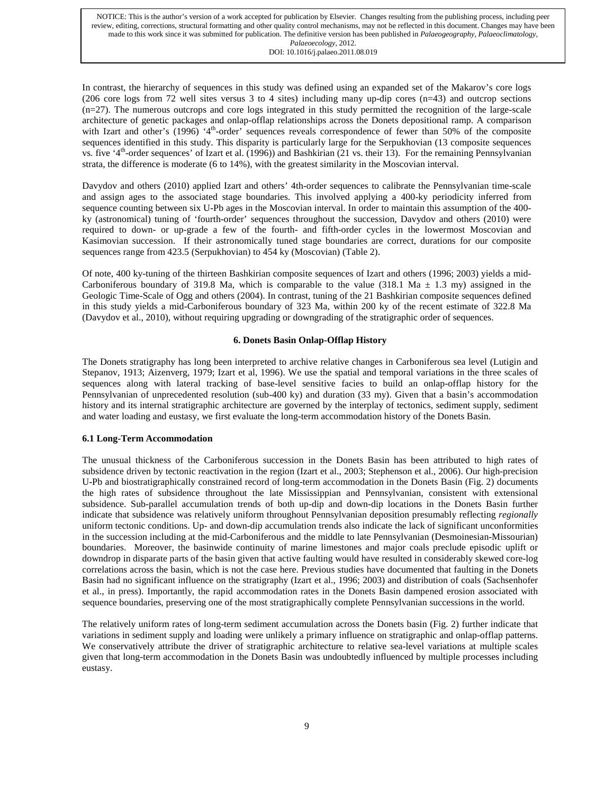In contrast, the hierarchy of sequences in this study was defined using an expanded set of the Makarov's core logs (206 core logs from 72 well sites versus 3 to 4 sites) including many up-dip cores (n=43) and outcrop sections  $(n=27)$ . The numerous outcrops and core logs integrated in this study permitted the recognition of the large-scale architecture of genetic packages and onlap-offlap relationships across the Donets depositional ramp. A comparison with Izart and other's (1996) '4<sup>th</sup>-order' sequences reveals correspondence of fewer than 50% of the composite sequences identified in this study. This disparity is particularly large for the Serpukhovian (13 composite sequences vs. five '4<sup>th</sup>-order sequences' of Izart et al. (1996)) and Bashkirian (21 vs. their 13). For the remaining Pennsylvanian strata, the difference is moderate (6 to 14%), with the greatest similarity in the Moscovian interval.

Davydov and others (2010) applied Izart and others' 4th-order sequences to calibrate the Pennsylvanian time-scale and assign ages to the associated stage boundaries. This involved applying a 400-ky periodicity inferred from sequence counting between six U-Pb ages in the Moscovian interval. In order to maintain this assumption of the 400 ky (astronomical) tuning of 'fourth-order' sequences throughout the succession, Davydov and others (2010) were required to down- or up-grade a few of the fourth- and fifth-order cycles in the lowermost Moscovian and Kasimovian succession. If their astronomically tuned stage boundaries are correct, durations for our composite sequences range from 423.5 (Serpukhovian) to 454 ky (Moscovian) (Table 2).

Of note, 400 ky-tuning of the thirteen Bashkirian composite sequences of Izart and others (1996; 2003) yields a mid-Carboniferous boundary of 319.8 Ma, which is comparable to the value (318.1 Ma  $\pm$  1.3 my) assigned in the Geologic Time-Scale of Ogg and others (2004). In contrast, tuning of the 21 Bashkirian composite sequences defined in this study yields a mid-Carboniferous boundary of 323 Ma, within 200 ky of the recent estimate of 322.8 Ma (Davydov et al., 2010), without requiring upgrading or downgrading of the stratigraphic order of sequences.

# **6. Donets Basin Onlap-Offlap History**

The Donets stratigraphy has long been interpreted to archive relative changes in Carboniferous sea level (Lutigin and Stepanov, 1913; Aizenverg, 1979; Izart et al, 1996). We use the spatial and temporal variations in the three scales of sequences along with lateral tracking of base-level sensitive facies to build an onlap-offlap history for the Pennsylvanian of unprecedented resolution (sub-400 ky) and duration (33 my). Given that a basin's accommodation history and its internal stratigraphic architecture are governed by the interplay of tectonics, sediment supply, sediment and water loading and eustasy, we first evaluate the long-term accommodation history of the Donets Basin.

# **6.1 Long-Term Accommodation**

The unusual thickness of the Carboniferous succession in the Donets Basin has been attributed to high rates of subsidence driven by tectonic reactivation in the region (Izart et al., 2003; Stephenson et al., 2006). Our high-precision U-Pb and biostratigraphically constrained record of long-term accommodation in the Donets Basin (Fig. 2) documents the high rates of subsidence throughout the late Mississippian and Pennsylvanian, consistent with extensional subsidence. Sub-parallel accumulation trends of both up-dip and down-dip locations in the Donets Basin further indicate that subsidence was relatively uniform throughout Pennsylvanian deposition presumably reflecting *regionally* uniform tectonic conditions. Up- and down-dip accumulation trends also indicate the lack of significant unconformities in the succession including at the mid-Carboniferous and the middle to late Pennsylvanian (Desmoinesian-Missourian) boundaries. Moreover, the basinwide continuity of marine limestones and major coals preclude episodic uplift or downdrop in disparate parts of the basin given that active faulting would have resulted in considerably skewed core-log correlations across the basin, which is not the case here. Previous studies have documented that faulting in the Donets Basin had no significant influence on the stratigraphy (Izart et al., 1996; 2003) and distribution of coals (Sachsenhofer et al., in press). Importantly, the rapid accommodation rates in the Donets Basin dampened erosion associated with sequence boundaries, preserving one of the most stratigraphically complete Pennsylvanian successions in the world.

The relatively uniform rates of long-term sediment accumulation across the Donets basin (Fig. 2) further indicate that variations in sediment supply and loading were unlikely a primary influence on stratigraphic and onlap-offlap patterns. We conservatively attribute the driver of stratigraphic architecture to relative sea-level variations at multiple scales given that long-term accommodation in the Donets Basin was undoubtedly influenced by multiple processes including eustasy.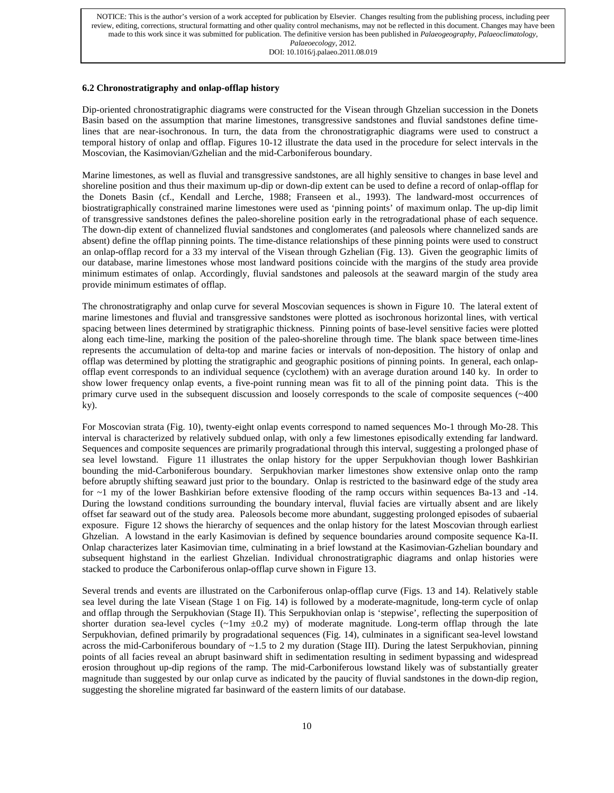# **6.2 Chronostratigraphy and onlap-offlap history**

Dip-oriented chronostratigraphic diagrams were constructed for the Visean through Ghzelian succession in the Donets Basin based on the assumption that marine limestones, transgressive sandstones and fluvial sandstones define timelines that are near-isochronous. In turn, the data from the chronostratigraphic diagrams were used to construct a temporal history of onlap and offlap. Figures 10-12 illustrate the data used in the procedure for select intervals in the Moscovian, the Kasimovian/Gzhelian and the mid-Carboniferous boundary.

Marine limestones, as well as fluvial and transgressive sandstones, are all highly sensitive to changes in base level and shoreline position and thus their maximum up-dip or down-dip extent can be used to define a record of onlap-offlap for the Donets Basin (cf., Kendall and Lerche, 1988; Franseen et al., 1993). The landward-most occurrences of biostratigraphically constrained marine limestones were used as 'pinning points' of maximum onlap. The up-dip limit of transgressive sandstones defines the paleo-shoreline position early in the retrogradational phase of each sequence. The down-dip extent of channelized fluvial sandstones and conglomerates (and paleosols where channelized sands are absent) define the offlap pinning points. The time-distance relationships of these pinning points were used to construct an onlap-offlap record for a 33 my interval of the Visean through Gzhelian (Fig. 13). Given the geographic limits of our database, marine limestones whose most landward positions coincide with the margins of the study area provide minimum estimates of onlap. Accordingly, fluvial sandstones and paleosols at the seaward margin of the study area provide minimum estimates of offlap.

The chronostratigraphy and onlap curve for several Moscovian sequences is shown in Figure 10. The lateral extent of marine limestones and fluvial and transgressive sandstones were plotted as isochronous horizontal lines, with vertical spacing between lines determined by stratigraphic thickness. Pinning points of base-level sensitive facies were plotted along each time-line, marking the position of the paleo-shoreline through time. The blank space between time-lines represents the accumulation of delta-top and marine facies or intervals of non-deposition. The history of onlap and offlap was determined by plotting the stratigraphic and geographic positions of pinning points. In general, each onlapofflap event corresponds to an individual sequence (cyclothem) with an average duration around 140 ky. In order to show lower frequency onlap events, a five-point running mean was fit to all of the pinning point data. This is the primary curve used in the subsequent discussion and loosely corresponds to the scale of composite sequences (~400 ky).

For Moscovian strata (Fig. 10), twenty-eight onlap events correspond to named sequences Mo-1 through Mo-28. This interval is characterized by relatively subdued onlap, with only a few limestones episodically extending far landward. Sequences and composite sequences are primarily progradational through this interval, suggesting a prolonged phase of sea level lowstand. Figure 11 illustrates the onlap history for the upper Serpukhovian though lower Bashkirian bounding the mid-Carboniferous boundary. Serpukhovian marker limestones show extensive onlap onto the ramp before abruptly shifting seaward just prior to the boundary. Onlap is restricted to the basinward edge of the study area for ~1 my of the lower Bashkirian before extensive flooding of the ramp occurs within sequences Ba-13 and -14. During the lowstand conditions surrounding the boundary interval, fluvial facies are virtually absent and are likely offset far seaward out of the study area. Paleosols become more abundant, suggesting prolonged episodes of subaerial exposure. Figure 12 shows the hierarchy of sequences and the onlap history for the latest Moscovian through earliest Ghzelian. A lowstand in the early Kasimovian is defined by sequence boundaries around composite sequence Ka-II. Onlap characterizes later Kasimovian time, culminating in a brief lowstand at the Kasimovian-Gzhelian boundary and subsequent highstand in the earliest Ghzelian. Individual chronostratigraphic diagrams and onlap histories were stacked to produce the Carboniferous onlap-offlap curve shown in Figure 13.

Several trends and events are illustrated on the Carboniferous onlap-offlap curve (Figs. 13 and 14). Relatively stable sea level during the late Visean (Stage 1 on Fig. 14) is followed by a moderate-magnitude, long-term cycle of onlap and offlap through the Serpukhovian (Stage II). This Serpukhovian onlap is 'stepwise', reflecting the superposition of shorter duration sea-level cycles  $(-1)$ my  $\pm 0.2$  my) of moderate magnitude. Long-term offlap through the late Serpukhovian, defined primarily by progradational sequences (Fig. 14), culminates in a significant sea-level lowstand across the mid-Carboniferous boundary of ~1.5 to 2 my duration (Stage III). During the latest Serpukhovian, pinning points of all facies reveal an abrupt basinward shift in sedimentation resulting in sediment bypassing and widespread erosion throughout up-dip regions of the ramp. The mid-Carboniferous lowstand likely was of substantially greater magnitude than suggested by our onlap curve as indicated by the paucity of fluvial sandstones in the down-dip region, suggesting the shoreline migrated far basinward of the eastern limits of our database.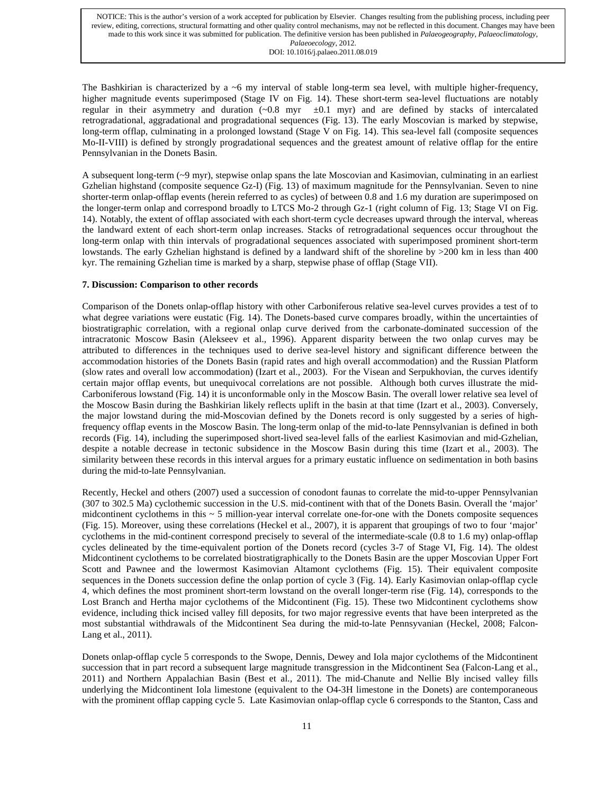The Bashkirian is characterized by a  $\sim$ 6 my interval of stable long-term sea level, with multiple higher-frequency, higher magnitude events superimposed (Stage IV on Fig. 14). These short-term sea-level fluctuations are notably regular in their asymmetry and duration  $(-0.8 \text{ myr } \pm 0.1 \text{ myr})$  and are defined by stacks of intercalated retrogradational, aggradational and progradational sequences (Fig. 13). The early Moscovian is marked by stepwise, long-term offlap, culminating in a prolonged lowstand (Stage V on Fig. 14). This sea-level fall (composite sequences Mo-II-VIII) is defined by strongly progradational sequences and the greatest amount of relative offlap for the entire Pennsylvanian in the Donets Basin.

A subsequent long-term (~9 myr), stepwise onlap spans the late Moscovian and Kasimovian, culminating in an earliest Gzhelian highstand (composite sequence Gz-I) (Fig. 13) of maximum magnitude for the Pennsylvanian. Seven to nine shorter-term onlap-offlap events (herein referred to as cycles) of between 0.8 and 1.6 my duration are superimposed on the longer-term onlap and correspond broadly to LTCS Mo-2 through Gz-1 (right column of Fig. 13; Stage VI on Fig. 14). Notably, the extent of offlap associated with each short-term cycle decreases upward through the interval, whereas the landward extent of each short-term onlap increases. Stacks of retrogradational sequences occur throughout the long-term onlap with thin intervals of progradational sequences associated with superimposed prominent short-term lowstands. The early Gzhelian highstand is defined by a landward shift of the shoreline by >200 km in less than 400 kyr. The remaining Gzhelian time is marked by a sharp, stepwise phase of offlap (Stage VII).

## **7. Discussion: Comparison to other records**

Comparison of the Donets onlap-offlap history with other Carboniferous relative sea-level curves provides a test of to what degree variations were eustatic (Fig. 14). The Donets-based curve compares broadly, within the uncertainties of biostratigraphic correlation, with a regional onlap curve derived from the carbonate-dominated succession of the intracratonic Moscow Basin (Alekseev et al., 1996). Apparent disparity between the two onlap curves may be attributed to differences in the techniques used to derive sea-level history and significant difference between the accommodation histories of the Donets Basin (rapid rates and high overall accommodation) and the Russian Platform (slow rates and overall low accommodation) (Izart et al., 2003). For the Visean and Serpukhovian, the curves identify certain major offlap events, but unequivocal correlations are not possible. Although both curves illustrate the mid-Carboniferous lowstand (Fig. 14) it is unconformable only in the Moscow Basin. The overall lower relative sea level of the Moscow Basin during the Bashkirian likely reflects uplift in the basin at that time (Izart et al., 2003). Conversely, the major lowstand during the mid-Moscovian defined by the Donets record is only suggested by a series of highfrequency offlap events in the Moscow Basin. The long-term onlap of the mid-to-late Pennsylvanian is defined in both records (Fig. 14), including the superimposed short-lived sea-level falls of the earliest Kasimovian and mid-Gzhelian, despite a notable decrease in tectonic subsidence in the Moscow Basin during this time (Izart et al., 2003). The similarity between these records in this interval argues for a primary eustatic influence on sedimentation in both basins during the mid-to-late Pennsylvanian.

Recently, Heckel and others (2007) used a succession of conodont faunas to correlate the mid-to-upper Pennsylvanian (307 to 302.5 Ma) cyclothemic succession in the U.S. mid-continent with that of the Donets Basin. Overall the 'major' midcontinent cyclothems in this  $\sim$  5 million-year interval correlate one-for-one with the Donets composite sequences (Fig. 15). Moreover, using these correlations (Heckel et al., 2007), it is apparent that groupings of two to four 'major' cyclothems in the mid-continent correspond precisely to several of the intermediate-scale (0.8 to 1.6 my) onlap-offlap cycles delineated by the time-equivalent portion of the Donets record (cycles 3-7 of Stage VI, Fig. 14). The oldest Midcontinent cyclothems to be correlated biostratigraphically to the Donets Basin are the upper Moscovian Upper Fort Scott and Pawnee and the lowermost Kasimovian Altamont cyclothems (Fig. 15). Their equivalent composite sequences in the Donets succession define the onlap portion of cycle 3 (Fig. 14). Early Kasimovian onlap-offlap cycle 4, which defines the most prominent short-term lowstand on the overall longer-term rise (Fig. 14), corresponds to the Lost Branch and Hertha major cyclothems of the Midcontinent (Fig. 15). These two Midcontinent cyclothems show evidence, including thick incised valley fill deposits, for two major regressive events that have been interpreted as the most substantial withdrawals of the Midcontinent Sea during the mid-to-late Pennsyvanian (Heckel, 2008; Falcon-Lang et al., 2011).

Donets onlap-offlap cycle 5 corresponds to the Swope, Dennis, Dewey and Iola major cyclothems of the Midcontinent succession that in part record a subsequent large magnitude transgression in the Midcontinent Sea (Falcon-Lang et al., 2011) and Northern Appalachian Basin (Best et al., 2011). The mid-Chanute and Nellie Bly incised valley fills underlying the Midcontinent Iola limestone (equivalent to the O4-3H limestone in the Donets) are contemporaneous with the prominent offlap capping cycle 5. Late Kasimovian onlap-offlap cycle 6 corresponds to the Stanton, Cass and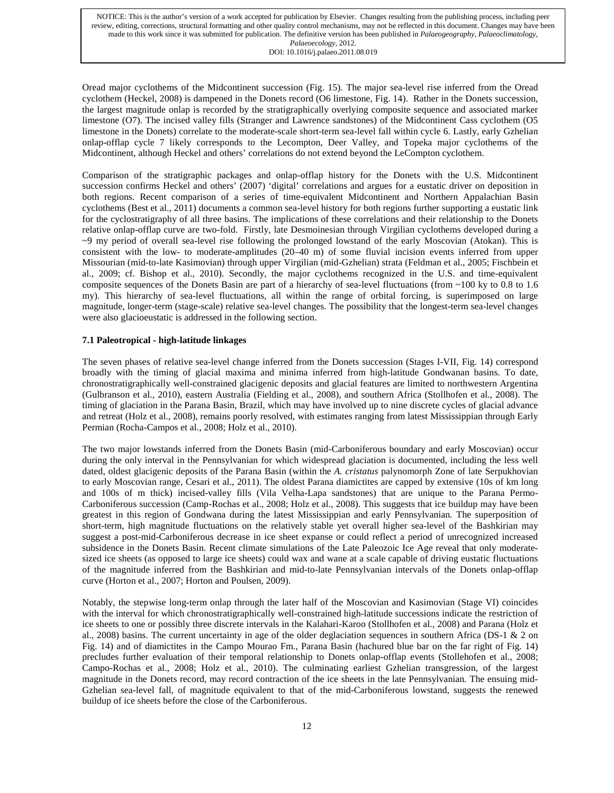Oread major cyclothems of the Midcontinent succession (Fig. 15). The major sea-level rise inferred from the Oread cyclothem (Heckel, 2008) is dampened in the Donets record (O6 limestone, Fig. 14). Rather in the Donets succession, the largest magnitude onlap is recorded by the stratigraphically overlying composite sequence and associated marker limestone (O7). The incised valley fills (Stranger and Lawrence sandstones) of the Midcontinent Cass cyclothem (O5 limestone in the Donets) correlate to the moderate-scale short-term sea-level fall within cycle 6. Lastly, early Gzhelian onlap-offlap cycle 7 likely corresponds to the Lecompton, Deer Valley, and Topeka major cyclothems of the Midcontinent, although Heckel and others' correlations do not extend beyond the LeCompton cyclothem.

Comparison of the stratigraphic packages and onlap-offlap history for the Donets with the U.S. Midcontinent succession confirms Heckel and others' (2007) 'digital' correlations and argues for a eustatic driver on deposition in both regions. Recent comparison of a series of time-equivalent Midcontinent and Northern Appalachian Basin cyclothems (Best et al., 2011) documents a common sea-level history for both regions further supporting a eustatic link for the cyclostratigraphy of all three basins. The implications of these correlations and their relationship to the Donets relative onlap-offlap curve are two-fold. Firstly, late Desmoinesian through Virgilian cyclothems developed during a  $\sim$ 9 my period of overall sea-level rise following the prolonged lowstand of the early Moscovian (Atokan). This is consistent with the low- to moderate-amplitudes (20–40 m) of some fluvial incision events inferred from upper Missourian (mid-to-late Kasimovian) through upper Virgilian (mid-Gzhelian) strata (Feldman et al., 2005; Fischbein et al., 2009; cf. Bishop et al., 2010). Secondly, the major cyclothems recognized in the U.S. and time-equivalent composite sequences of the Donets Basin are part of a hierarchy of sea-level fluctuations (from ~100 ky to 0.8 to 1.6 my). This hierarchy of sea-level fluctuations, all within the range of orbital forcing, is superimposed on large magnitude, longer-term (stage-scale) relative sea-level changes. The possibility that the longest-term sea-level changes were also glacioeustatic is addressed in the following section.

# **7.1 Paleotropical - high-latitude linkages**

The seven phases of relative sea-level change inferred from the Donets succession (Stages I-VII, Fig. 14) correspond broadly with the timing of glacial maxima and minima inferred from high-latitude Gondwanan basins. To date, chronostratigraphically well-constrained glacigenic deposits and glacial features are limited to northwestern Argentina (Gulbranson et al., 2010), eastern Australia (Fielding et al., 2008), and southern Africa (Stollhofen et al., 2008). The timing of glaciation in the Parana Basin, Brazil, which may have involved up to nine discrete cycles of glacial advance and retreat (Holz et al., 2008), remains poorly resolved, with estimates ranging from latest Mississippian through Early Permian (Rocha-Campos et al., 2008; Holz et al., 2010).

The two major lowstands inferred from the Donets Basin (mid-Carboniferous boundary and early Moscovian) occur during the only interval in the Pennsylvanian for which widespread glaciation is documented, including the less well dated, oldest glacigenic deposits of the Parana Basin (within the *A. cristatus* palynomorph Zone of late Serpukhovian to early Moscovian range, Cesari et al., 2011). The oldest Parana diamictites are capped by extensive (10s of km long and 100s of m thick) incised-valley fills (Vila Velha-Lapa sandstones) that are unique to the Parana Permo-Carboniferous succession (Camp-Rochas et al., 2008; Holz et al., 2008). This suggests that ice buildup may have been greatest in this region of Gondwana during the latest Mississippian and early Pennsylvanian. The superposition of short-term, high magnitude fluctuations on the relatively stable yet overall higher sea-level of the Bashkirian may suggest a post-mid-Carboniferous decrease in ice sheet expanse or could reflect a period of unrecognized increased subsidence in the Donets Basin. Recent climate simulations of the Late Paleozoic Ice Age reveal that only moderatesized ice sheets (as opposed to large ice sheets) could wax and wane at a scale capable of driving eustatic fluctuations of the magnitude inferred from the Bashkirian and mid-to-late Pennsylvanian intervals of the Donets onlap-offlap curve (Horton et al., 2007; Horton and Poulsen, 2009).

Notably, the stepwise long-term onlap through the later half of the Moscovian and Kasimovian (Stage VI) coincides with the interval for which chronostratigraphically well-constrained high-latitude successions indicate the restriction of ice sheets to one or possibly three discrete intervals in the Kalahari-Karoo (Stollhofen et al., 2008) and Parana (Holz et al., 2008) basins. The current uncertainty in age of the older deglaciation sequences in southern Africa (DS-1  $\&$  2 on Fig. 14) and of diamictites in the Campo Mourao Fm., Parana Basin (hachured blue bar on the far right of Fig. 14) precludes further evaluation of their temporal relationship to Donets onlap-offlap events (Stollehofen et al., 2008; Campo-Rochas et al., 2008; Holz et al., 2010). The culminating earliest Gzhelian transgression, of the largest magnitude in the Donets record, may record contraction of the ice sheets in the late Pennsylvanian. The ensuing mid-Gzhelian sea-level fall, of magnitude equivalent to that of the mid-Carboniferous lowstand, suggests the renewed buildup of ice sheets before the close of the Carboniferous.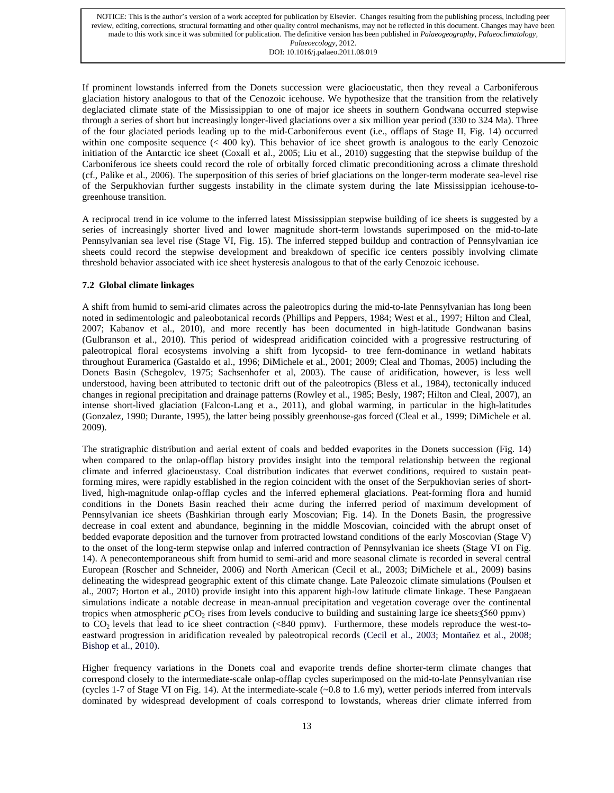If prominent lowstands inferred from the Donets succession were glacioeustatic, then they reveal a Carboniferous glaciation history analogous to that of the Cenozoic icehouse. We hypothesize that the transition from the relatively deglaciated climate state of the Mississippian to one of major ice sheets in southern Gondwana occurred stepwise through a series of short but increasingly longer-lived glaciations over a six million year period (330 to 324 Ma). Three of the four glaciated periods leading up to the mid-Carboniferous event (i.e., offlaps of Stage II, Fig. 14) occurred within one composite sequence (< 400 ky). This behavior of ice sheet growth is analogous to the early Cenozoic initiation of the Antarctic ice sheet (Coxall et al., 2005; Liu et al., 2010) suggesting that the stepwise buildup of the Carboniferous ice sheets could record the role of orbitally forced climatic preconditioning across a climate threshold (cf., Palike et al., 2006). The superposition of this series of brief glaciations on the longer-term moderate sea-level rise of the Serpukhovian further suggests instability in the climate system during the late Mississippian icehouse-togreenhouse transition.

A reciprocal trend in ice volume to the inferred latest Mississippian stepwise building of ice sheets is suggested by a series of increasingly shorter lived and lower magnitude short-term lowstands superimposed on the mid-to-late Pennsylvanian sea level rise (Stage VI, Fig. 15). The inferred stepped buildup and contraction of Pennsylvanian ice sheets could record the stepwise development and breakdown of specific ice centers possibly involving climate threshold behavior associated with ice sheet hysteresis analogous to that of the early Cenozoic icehouse.

# **7.2****Global climate linkages**

A shift from humid to semi-arid climates across the paleotropics during the mid-to-late Pennsylvanian has long been noted in sedimentologic and paleobotanical records (Phillips and Peppers, 1984; West et al., 1997; Hilton and Cleal, 2007; Kabanov et al., 2010), and more recently has been documented in high-latitude Gondwanan basins (Gulbranson et al., 2010). This period of widespread aridification coincided with a progressive restructuring of paleotropical floral ecosystems involving a shift from lycopsid- to tree fern-dominance in wetland habitats throughout Euramerica (Gastaldo et al., 1996; DiMichele et al., 2001; 2009; Cleal and Thomas, 2005) including the Donets Basin (Schegolev, 1975; Sachsenhofer et al, 2003). The cause of aridification, however, is less well understood, having been attributed to tectonic drift out of the paleotropics (Bless et al., 1984), tectonically induced changes in regional precipitation and drainage patterns (Rowley et al., 1985; Besly, 1987; Hilton and Cleal, 2007), an intense short-lived glaciation (Falcon-Lang et a., 2011), and global warming, in particular in the high-latitudes (Gonzalez, 1990; Durante, 1995), the latter being possibly greenhouse-gas forced (Cleal et al., 1999; DiMichele et al. 2009).

The stratigraphic distribution and aerial extent of coals and bedded evaporites in the Donets succession (Fig. 14) when compared to the onlap-offlap history provides insight into the temporal relationship between the regional climate and inferred glacioeustasy. Coal distribution indicates that everwet conditions, required to sustain peatforming mires, were rapidly established in the region coincident with the onset of the Serpukhovian series of shortlived, high-magnitude onlap-offlap cycles and the inferred ephemeral glaciations. Peat-forming flora and humid conditions in the Donets Basin reached their acme during the inferred period of maximum development of Pennsylvanian ice sheets (Bashkirian through early Moscovian; Fig. 14). In the Donets Basin, the progressive decrease in coal extent and abundance, beginning in the middle Moscovian, coincided with the abrupt onset of bedded evaporate deposition and the turnover from protracted lowstand conditions of the early Moscovian (Stage V) to the onset of the long-term stepwise onlap and inferred contraction of Pennsylvanian ice sheets (Stage VI on Fig. 14). A penecontemporaneous shift from humid to semi-arid and more seasonal climate is recorded in several central European (Roscher and Schneider, 2006) and North American (Cecil et al., 2003; DiMichele et al., 2009) basins delineating the widespread geographic extent of this climate change. Late Paleozoic climate simulations (Poulsen et al., 2007; Horton et al., 2010) provide insight into this apparent high-low latitude climate linkage. These Pangaean simulations indicate a notable decrease in mean-annual precipitation and vegetation coverage over the continental tropics when atmospheric  $pCO_2$  rises from levels conducive to building and sustaining large ice sheets  $\leq 560$  ppmv) to CO2 levels that lead to ice sheet contraction (<840 ppmv). Furthermore, these models reproduce the west-toeastward progression in aridification revealed by paleotropical records (Cecil et al., 2003; Montañez et al., 2008; Bishop et al., 2010).

Higher frequency variations in the Donets coal and evaporite trends define shorter-term climate changes that correspond closely to the intermediate-scale onlap-offlap cycles superimposed on the mid-to-late Pennsylvanian rise (cycles 1-7 of Stage VI on Fig. 14). At the intermediate-scale (~0.8 to 1.6 my), wetter periods inferred from intervals dominated by widespread development of coals correspond to lowstands, whereas drier climate inferred from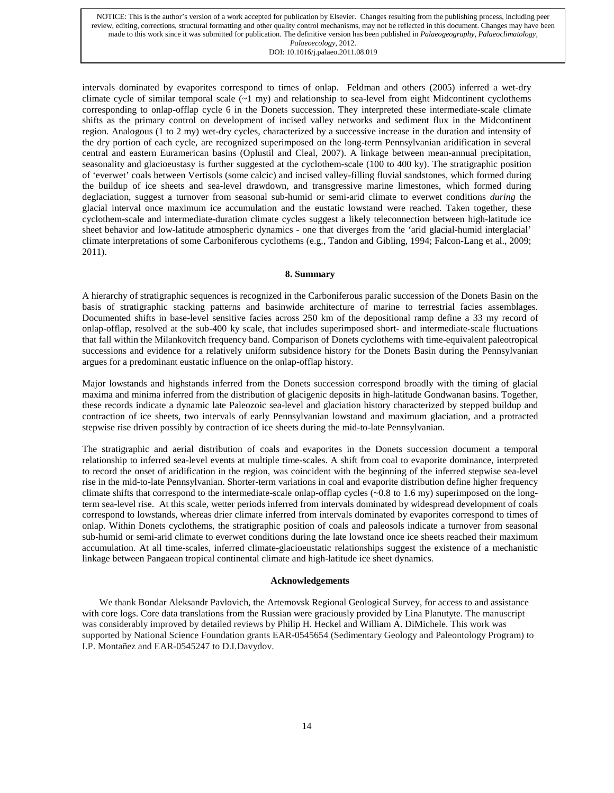intervals dominated by evaporites correspond to times of onlap. Feldman and others (2005) inferred a wet-dry climate cycle of similar temporal scale  $({\sim}1$  my) and relationship to sea-level from eight Midcontinent cyclothems corresponding to onlap-offlap cycle 6 in the Donets succession. They interpreted these intermediate-scale climate shifts as the primary control on development of incised valley networks and sediment flux in the Midcontinent region. Analogous (1 to 2 my) wet-dry cycles, characterized by a successive increase in the duration and intensity of the dry portion of each cycle, are recognized superimposed on the long-term Pennsylvanian aridification in several central and eastern Euramerican basins (Oplustil and Cleal, 2007). A linkage between mean-annual precipitation, seasonality and glacioeustasy is further suggested at the cyclothem-scale (100 to 400 ky). The stratigraphic position of 'everwet' coals between Vertisols (some calcic) and incised valley-filling fluvial sandstones, which formed during the buildup of ice sheets and sea-level drawdown, and transgressive marine limestones, which formed during deglaciation, suggest a turnover from seasonal sub-humid or semi-arid climate to everwet conditions *during* the glacial interval once maximum ice accumulation and the eustatic lowstand were reached. Taken together, these cyclothem-scale and intermediate-duration climate cycles suggest a likely teleconnection between high-latitude ice sheet behavior and low-latitude atmospheric dynamics - one that diverges from the 'arid glacial-humid interglacial' climate interpretations of some Carboniferous cyclothems (e.g., Tandon and Gibling, 1994; Falcon-Lang et al., 2009; 2011).

# **8. Summary**

A hierarchy of stratigraphic sequences is recognized in the Carboniferous paralic succession of the Donets Basin on the basis of stratigraphic stacking patterns and basinwide architecture of marine to terrestrial facies assemblages. Documented shifts in base-level sensitive facies across 250 km of the depositional ramp define a 33 my record of onlap-offlap, resolved at the sub-400 ky scale, that includes superimposed short- and intermediate-scale fluctuations that fall within the Milankovitch frequency band. Comparison of Donets cyclothems with time-equivalent paleotropical successions and evidence for a relatively uniform subsidence history for the Donets Basin during the Pennsylvanian argues for a predominant eustatic influence on the onlap-offlap history.

Major lowstands and highstands inferred from the Donets succession correspond broadly with the timing of glacial maxima and minima inferred from the distribution of glacigenic deposits in high-latitude Gondwanan basins. Together, these records indicate a dynamic late Paleozoic sea-level and glaciation history characterized by stepped buildup and contraction of ice sheets, two intervals of early Pennsylvanian lowstand and maximum glaciation, and a protracted stepwise rise driven possibly by contraction of ice sheets during the mid-to-late Pennsylvanian.

The stratigraphic and aerial distribution of coals and evaporites in the Donets succession document a temporal relationship to inferred sea-level events at multiple time-scales. A shift from coal to evaporite dominance, interpreted to record the onset of aridification in the region, was coincident with the beginning of the inferred stepwise sea-level rise in the mid-to-late Pennsylvanian. Shorter-term variations in coal and evaporite distribution define higher frequency climate shifts that correspond to the intermediate-scale onlap-offlap cycles  $(\sim 0.8$  to 1.6 my) superimposed on the longterm sea-level rise. At this scale, wetter periods inferred from intervals dominated by widespread development of coals correspond to lowstands, whereas drier climate inferred from intervals dominated by evaporites correspond to times of onlap. Within Donets cyclothems, the stratigraphic position of coals and paleosols indicate a turnover from seasonal sub-humid or semi-arid climate to everwet conditions during the late lowstand once ice sheets reached their maximum accumulation. At all time-scales, inferred climate-glacioeustatic relationships suggest the existence of a mechanistic linkage between Pangaean tropical continental climate and high-latitude ice sheet dynamics.

# **Acknowledgements**

We thank Bondar Aleksandr Pavlovich, the Artemovsk Regional Geological Survey, for access to and assistance with core logs. Core data translations from the Russian were graciously provided by Lina Planutyte. The manuscript was considerably improved by detailed reviews by Philip H. Heckel and William A. DiMichele. This work was supported by National Science Foundation grants EAR-0545654 (Sedimentary Geology and Paleontology Program) to I.P. Montañez and EAR-0545247 to D.I.Davydov.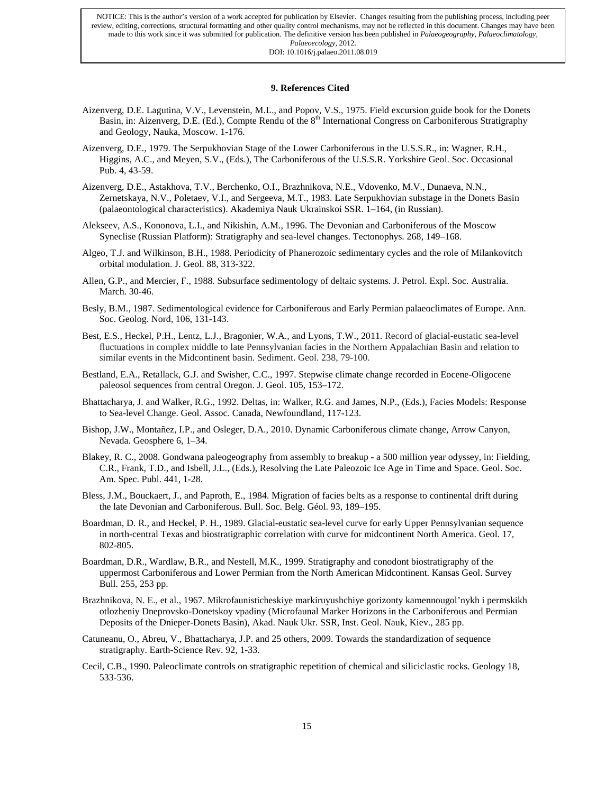# **9. References Cited**

- Aizenverg, D.E. Lagutina, V.V., Levenstein, M.L., and Popov, V.S., 1975. Field excursion guide book for the Donets Basin, in: Aizenverg, D.E. (Ed.), Compte Rendu of the 8<sup>th</sup> International Congress on Carboniferous Stratigraphy and Geology*,* Nauka, Moscow. 1-176.
- Aizenverg, D.E., 1979. The Serpukhovian Stage of the Lower Carboniferous in the U.S.S.R., in: Wagner, R.H., Higgins, A.C., and Meyen, S.V., (Eds.), The Carboniferous of the U.S.S.R. Yorkshire Geol. Soc. Occasional Pub. 4, 43-59.
- Aizenverg, D.E., Astakhova, T.V., Berchenko, O.I., Brazhnikova, N.E., Vdovenko, M.V., Dunaeva, N.N., Zernetskaya, N.V., Poletaev, V.I., and Sergeeva, M.T., 1983. Late Serpukhovian substage in the Donets Basin (palaeontological characteristics). Akademiya Nauk Ukrainskoi SSR. 1–164, (in Russian).
- Alekseev, A.S., Kononova, L.I., and Nikishin, A.M., 1996. The Devonian and Carboniferous of the Moscow Syneclise (Russian Platform): Stratigraphy and sea-level changes. Tectonophys. 268, 149–168.
- Algeo, T.J. and Wilkinson, B.H., 1988. Periodicity of Phanerozoic sedimentary cycles and the role of Milankovitch orbital modulation. J. Geol. 88, 313-322.
- Allen, G.P., and Mercier, F., 1988. Subsurface sedimentology of deltaic systems. J. Petrol. Expl. Soc. Australia. March. 30-46.
- Besly, B.M., 1987. Sedimentological evidence for Carboniferous and Early Permian palaeoclimates of Europe. Ann. Soc. Geolog. Nord, 106, 131-143.
- Best, E.S., Heckel, P.H., Lentz, L.J., Bragonier, W.A., and Lyons, T.W., 2011. Record of glacial-eustatic sea-level fluctuations in complex middle to late Pennsylvanian facies in the Northern Appalachian Basin and relation to similar events in the Midcontinent basin. Sediment. Geol. 238, 79-100.
- Bestland, E.A., Retallack, G.J. and Swisher, C.C., 1997. Stepwise climate change recorded in Eocene-Oligocene paleosol sequences from central Oregon. J. Geol. 105, 153–172.
- Bhattacharya, J. and Walker, R.G., 1992. Deltas, in: Walker, R.G. and James, N.P., (Eds.), Facies Models: Response to Sea-level Change. Geol. Assoc. Canada, Newfoundland, 117-123.
- Bishop, J.W., Montañez, I.P., and Osleger, D.A., 2010. Dynamic Carboniferous climate change, Arrow Canyon, Nevada. Geosphere 6, 1–34.
- Blakey, R. C., 2008. Gondwana paleogeography from assembly to breakup a 500 million year odyssey, in: Fielding, C.R., Frank, T.D., and Isbell, J.L., (Eds.), Resolving the Late Paleozoic Ice Age in Time and Space. Geol. Soc. Am. Spec. Publ. 441, 1-28.
- Bless, J.M., Bouckaert, J., and Paproth, E., 1984. Migration of facies belts as a response to continental drift during the late Devonian and Carboniferous. Bull. Soc. Belg. Géol. 93, 189–195.
- Boardman, D. R., and Heckel, P. H., 1989. Glacial-eustatic sea-level curve for early Upper Pennsylvanian sequence in north-central Texas and biostratigraphic correlation with curve for midcontinent North America. Geol. 17, 802-805.
- Boardman, D.R., Wardlaw, B.R., and Nestell, M.K., 1999. Stratigraphy and conodont biostratigraphy of the uppermost Carboniferous and Lower Permian from the North American Midcontinent. Kansas Geol. Survey Bull. 255, 253 pp.
- Brazhnikova, N. E., et al., 1967. Mikrofaunisticheskiye markiruyushchiye gorizonty kamennougol'nykh i permskikh otlozheniy Dneprovsko-Donetskoy vpadiny (Microfaunal Marker Horizons in the Carboniferous and Permian Deposits of the Dnieper-Donets Basin), Akad. Nauk Ukr. SSR, Inst. Geol. Nauk, Kiev., 285 pp.
- Catuneanu, O., Abreu, V., Bhattacharya, J.P. and 25 others, 2009. Towards the standardization of sequence stratigraphy. Earth-Science Rev. 92, 1-33.
- Cecil, C.B., 1990. Paleoclimate controls on stratigraphic repetition of chemical and siliciclastic rocks. Geology 18, 533-536.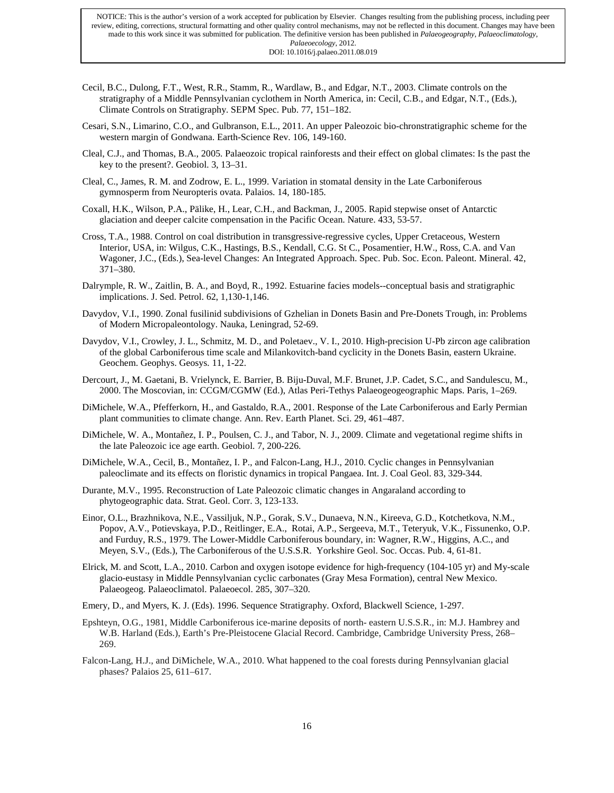- Cecil, B.C., Dulong, F.T., West, R.R., Stamm, R., Wardlaw, B., and Edgar, N.T., 2003. Climate controls on the stratigraphy of a Middle Pennsylvanian cyclothem in North America, in: Cecil, C.B., and Edgar, N.T., (Eds.), Climate Controls on Stratigraphy. SEPM Spec. Pub. 77, 151–182.
- Cesari, S.N., Limarino, C.O., and Gulbranson, E.L., 2011. An upper Paleozoic bio-chronstratigraphic scheme for the western margin of Gondwana. Earth-Science Rev. 106, 149-160.
- Cleal, C.J., and Thomas, B.A., 2005. Palaeozoic tropical rainforests and their effect on global climates: Is the past the key to the present?. Geobiol. 3, 13–31.
- Cleal, C., James, R. M. and Zodrow, E. L., 1999. Variation in stomatal density in the Late Carboniferous gymnosperm from Neuropteris ovata. Palaios. 14, 180-185.
- Coxall, H.K., Wilson, P.A., Pälike, H., Lear, C.H., and Backman, J., 2005. Rapid stepwise onset of Antarctic glaciation and deeper calcite compensation in the Pacific Ocean. Nature. 433, 53-57.
- Cross, T.A., 1988. Control on coal distribution in transgressive-regressive cycles, Upper Cretaceous, Western Interior, USA, in: Wilgus, C.K., Hastings, B.S., Kendall, C.G. St C., Posamentier, H.W., Ross, C.A. and Van Wagoner, J.C., (Eds.), Sea-level Changes: An Integrated Approach. Spec. Pub. Soc. Econ. Paleont. Mineral. 42, 371–380.
- Dalrymple, R. W., Zaitlin, B. A., and Boyd, R., 1992. Estuarine facies models--conceptual basis and stratigraphic implications. J. Sed. Petrol. 62, 1,130-1,146.
- Davydov, V.I., 1990. Zonal fusilinid subdivisions of Gzhelian in Donets Basin and Pre-Donets Trough, in: Problems of Modern Micropaleontology. Nauka, Leningrad, 52-69.
- Davydov, V.I., Crowley, J. L., Schmitz, M. D., and Poletaev., V. I., 2010. High-precision U-Pb zircon age calibration of the global Carboniferous time scale and Milankovitch-band cyclicity in the Donets Basin, eastern Ukraine. Geochem. Geophys. Geosys. 11, 1-22.
- Dercourt, J., M. Gaetani, B. Vrielynck, E. Barrier, B. Biju-Duval, M.F. Brunet, J.P. Cadet, S.C., and Sandulescu, M., 2000. The Moscovian, in: CCGM/CGMW (Ed.), Atlas Peri-Tethys Palaeogeogeographic Maps. Paris, 1–269.
- DiMichele, W.A., Pfefferkorn, H., and Gastaldo, R.A., 2001. Response of the Late Carboniferous and Early Permian plant communities to climate change. Ann. Rev. Earth Planet. Sci. 29, 461–487.
- DiMichele, W. A., Montañez, I. P., Poulsen, C. J., and Tabor, N. J., 2009. Climate and vegetational regime shifts in the late Paleozoic ice age earth. Geobiol. 7, 200-226.
- DiMichele, W.A., Cecil, B., Montañez, I. P., and Falcon-Lang, H.J., 2010. Cyclic changes in Pennsylvanian paleoclimate and its effects on floristic dynamics in tropical Pangaea. Int. J. Coal Geol. 83, 329-344.
- Durante, M.V., 1995. Reconstruction of Late Paleozoic climatic changes in Angaraland according to phytogeographic data. Strat. Geol. Corr. 3, 123-133.
- Einor, O.L., Brazhnikova, N.E., Vassiljuk, N.P., Gorak, S.V., Dunaeva, N.N., Kireeva, G.D., Kotchetkova, N.M., Popov, A.V., Potievskaya, P.D., Reitlinger, E.A., Rotai, A.P., Sergeeva, M.T., Teteryuk, V.K., Fissunenko, O.P. and Furduy, R.S., 1979. The Lower-Middle Carboniferous boundary, in: Wagner, R.W., Higgins, A.C., and Meyen, S.V., (Eds.), The Carboniferous of the U.S.S.R. Yorkshire Geol. Soc. Occas. Pub. 4, 61-81.
- Elrick, M. and Scott, L.A., 2010. Carbon and oxygen isotope evidence for high-frequency (104-105 yr) and My-scale glacio-eustasy in Middle Pennsylvanian cyclic carbonates (Gray Mesa Formation), central New Mexico. Palaeogeog. Palaeoclimatol. Palaeoecol. 285, 307–320.
- Emery, D., and Myers, K. J. (Eds). 1996. Sequence Stratigraphy. Oxford, Blackwell Science, 1-297.
- Epshteyn, O.G., 1981, Middle Carboniferous ice-marine deposits of north- eastern U.S.S.R., in: M.J. Hambrey and W.B. Harland (Eds.), Earth's Pre-Pleistocene Glacial Record. Cambridge, Cambridge University Press, 268– 269.
- Falcon-Lang, H.J., and DiMichele, W.A., 2010. What happened to the coal forests during Pennsylvanian glacial phases? Palaios 25, 611–617.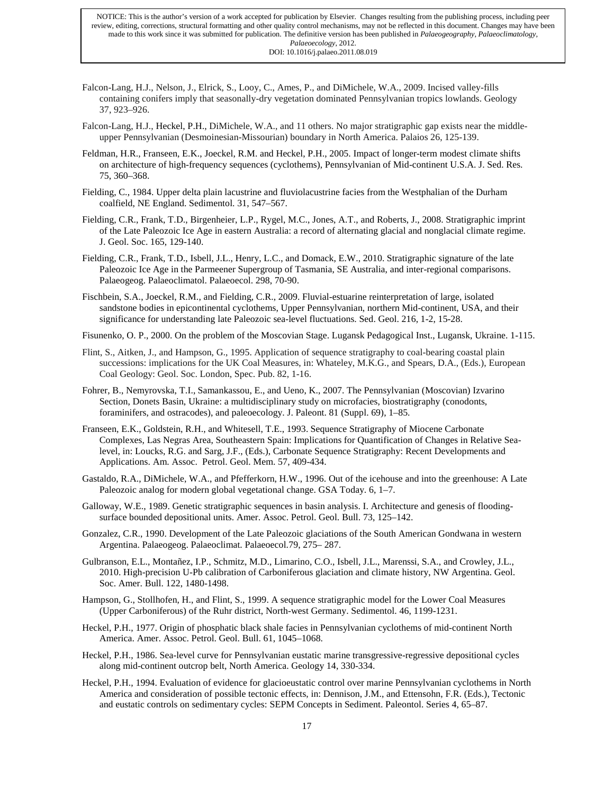- Falcon-Lang, H.J., Nelson, J., Elrick, S., Looy, C., Ames, P., and DiMichele, W.A., 2009. Incised valley-fills containing conifers imply that seasonally-dry vegetation dominated Pennsylvanian tropics lowlands. Geology 37, 923–926.
- Falcon-Lang, H.J., Heckel, P.H., DiMichele, W.A., and 11 others. No major stratigraphic gap exists near the middleupper Pennsylvanian (Desmoinesian-Missourian) boundary in North America. Palaios 26, 125-139.
- Feldman, H.R., Franseen, E.K., Joeckel, R.M. and Heckel, P.H., 2005. Impact of longer-term modest climate shifts on architecture of high-frequency sequences (cyclothems), Pennsylvanian of Mid-continent U.S.A. J. Sed. Res. 75, 360–368.
- Fielding, C., 1984. Upper delta plain lacustrine and fluviolacustrine facies from the Westphalian of the Durham coalfield, NE England. Sedimentol. 31, 547–567.
- Fielding, C.R., Frank, T.D., Birgenheier, L.P., Rygel, M.C., Jones, A.T., and Roberts, J., 2008. Stratigraphic imprint of the Late Paleozoic Ice Age in eastern Australia: a record of alternating glacial and nonglacial climate regime. J. Geol. Soc. 165, 129-140.
- Fielding, C.R., Frank, T.D., Isbell, J.L., Henry, L.C., and Domack, E.W., 2010. Stratigraphic signature of the late Paleozoic Ice Age in the Parmeener Supergroup of Tasmania, SE Australia, and inter-regional comparisons. Palaeogeog. Palaeoclimatol. Palaeoecol. 298, 70-90.
- Fischbein, S.A., Joeckel, R.M., and Fielding, C.R., 2009. Fluvial-estuarine reinterpretation of large, isolated sandstone bodies in epicontinental cyclothems, Upper Pennsylvanian, northern Mid-continent, USA, and their significance for understanding late Paleozoic sea-level fluctuations. Sed. Geol. 216, 1-2, 15-28.
- Fisunenko, O. P., 2000. On the problem of the Moscovian Stage. Lugansk Pedagogical Inst., Lugansk, Ukraine. 1-115.
- Flint, S., Aitken, J., and Hampson, G., 1995. Application of sequence stratigraphy to coal-bearing coastal plain successions: implications for the UK Coal Measures, in: Whateley, M.K.G., and Spears, D.A., (Eds.), European Coal Geology: Geol. Soc. London, Spec. Pub. 82, 1-16.
- Fohrer, B., Nemyrovska, T.I., Samankassou, E., and Ueno, K., 2007. The Pennsylvanian (Moscovian) Izvarino Section, Donets Basin, Ukraine: a multidisciplinary study on microfacies, biostratigraphy (conodonts, foraminifers, and ostracodes), and paleoecology. J. Paleont. 81 (Suppl. 69), 1–85.
- Franseen, E.K., Goldstein, R.H., and Whitesell, T.E., 1993. Sequence Stratigraphy of Miocene Carbonate Complexes, Las Negras Area, Southeastern Spain: Implications for Quantification of Changes in Relative Sealevel, in: Loucks, R.G. and Sarg, J.F., (Eds.), Carbonate Sequence Stratigraphy: Recent Developments and Applications. Am. Assoc. Petrol. Geol. Mem. 57, 409-434.
- Gastaldo, R.A., DiMichele, W.A., and Pfefferkorn, H.W., 1996. Out of the icehouse and into the greenhouse: A Late Paleozoic analog for modern global vegetational change. GSA Today. 6, 1–7.
- Galloway, W.E., 1989. Genetic stratigraphic sequences in basin analysis. I. Architecture and genesis of floodingsurface bounded depositional units. Amer. Assoc. Petrol. Geol. Bull. 73, 125–142.
- Gonzalez, C.R., 1990. Development of the Late Paleozoic glaciations of the South American Gondwana in western Argentina. Palaeogeog. Palaeoclimat. Palaeoecol.79, 275– 287.
- Gulbranson, E.L., Montañez, I.P., Schmitz, M.D., Limarino, C.O., Isbell, J.L., Marenssi, S.A., and Crowley, J.L., 2010. High-precision U-Pb calibration of Carboniferous glaciation and climate history, NW Argentina. Geol. Soc. Amer. Bull. 122, 1480-1498.
- Hampson, G., Stollhofen, H., and Flint, S., 1999. A sequence stratigraphic model for the Lower Coal Measures (Upper Carboniferous) of the Ruhr district, North-west Germany. Sedimentol. 46, 1199-1231.
- Heckel, P.H., 1977. Origin of phosphatic black shale facies in Pennsylvanian cyclothems of mid-continent North America. Amer. Assoc. Petrol. Geol. Bull. 61, 1045–1068.
- Heckel, P.H., 1986. Sea-level curve for Pennsylvanian eustatic marine transgressive-regressive depositional cycles along mid-continent outcrop belt, North America. Geology 14, 330-334.
- Heckel, P.H., 1994. Evaluation of evidence for glacioeustatic control over marine Pennsylvanian cyclothems in North America and consideration of possible tectonic effects, in: Dennison, J.M., and Ettensohn, F.R. (Eds.), Tectonic and eustatic controls on sedimentary cycles: SEPM Concepts in Sediment. Paleontol. Series 4, 65–87.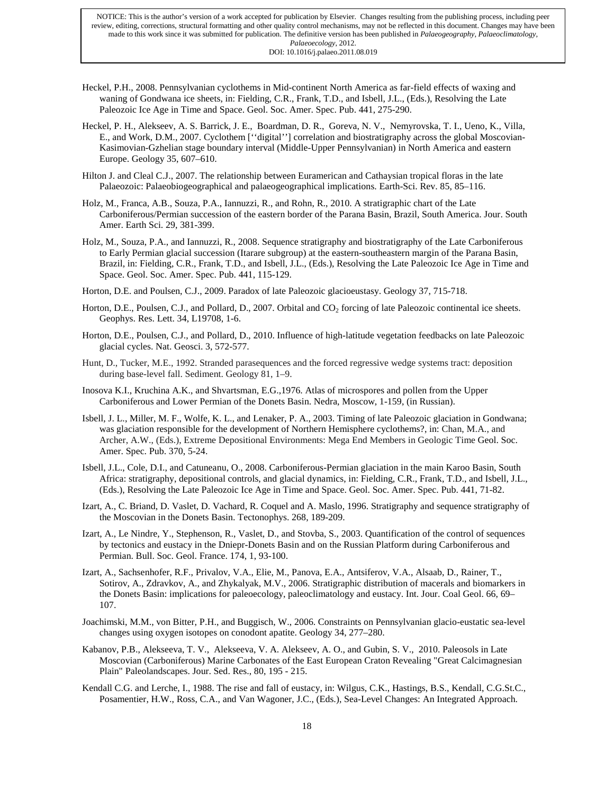- Heckel, P.H., 2008. Pennsylvanian cyclothems in Mid-continent North America as far-field effects of waxing and waning of Gondwana ice sheets, in: Fielding, C.R., Frank, T.D., and Isbell, J.L., (Eds.), Resolving the Late Paleozoic Ice Age in Time and Space. Geol. Soc. Amer. Spec. Pub. 441, 275-290.
- Heckel, P. H., Alekseev, A. S. Barrick, J. E., Boardman, D. R., Goreva, N. V., Nemyrovska, T. I., Ueno, K., Villa, E., and Work, D.M., 2007. Cyclothem [''digital''] correlation and biostratigraphy across the global Moscovian-Kasimovian-Gzhelian stage boundary interval (Middle-Upper Pennsylvanian) in North America and eastern Europe. Geology 35, 607–610.
- Hilton J. and Cleal C.J., 2007. The relationship between Euramerican and Cathaysian tropical floras in the late Palaeozoic: Palaeobiogeographical and palaeogeographical implications. Earth-Sci. Rev. 85, 85–116.
- Holz, M., Franca, A.B., Souza, P.A., Iannuzzi, R., and Rohn, R., 2010. A stratigraphic chart of the Late Carboniferous/Permian succession of the eastern border of the Parana Basin, Brazil, South America. Jour. South Amer. Earth Sci. 29, 381-399.
- Holz, M., Souza, P.A., and Iannuzzi, R., 2008. Sequence stratigraphy and biostratigraphy of the Late Carboniferous to Early Permian glacial succession (Itarare subgroup) at the eastern-southeastern margin of the Parana Basin, Brazil, in: Fielding, C.R., Frank, T.D., and Isbell, J.L., (Eds.), Resolving the Late Paleozoic Ice Age in Time and Space. Geol. Soc. Amer. Spec. Pub. 441, 115-129.
- Horton, D.E. and Poulsen, C.J., 2009. Paradox of late Paleozoic glacioeustasy. Geology 37, 715-718.
- Horton, D.E., Poulsen, C.J., and Pollard, D., 2007. Orbital and CO<sub>2</sub> forcing of late Paleozoic continental ice sheets. Geophys. Res. Lett. 34, L19708, 1-6.
- Horton, D.E., Poulsen, C.J., and Pollard, D., 2010. Influence of high-latitude vegetation feedbacks on late Paleozoic glacial cycles. Nat. Geosci. 3, 572-577.
- Hunt, D., Tucker, M.E., 1992. Stranded parasequences and the forced regressive wedge systems tract: deposition during base-level fall. Sediment. Geology 81, 1–9.
- Inosova K.I., Kruchina A.K., and Shvartsman, E.G.,1976. Atlas of microspores and pollen from the Upper Carboniferous and Lower Permian of the Donets Basin. Nedra, Moscow, 1-159, (in Russian).
- Isbell, J. L., Miller, M. F., Wolfe, K. L., and Lenaker, P. A., 2003. Timing of late Paleozoic glaciation in Gondwana; was glaciation responsible for the development of Northern Hemisphere cyclothems?, in: Chan, M.A., and Archer, A.W., (Eds.), Extreme Depositional Environments: Mega End Members in Geologic Time Geol. Soc. Amer. Spec. Pub. 370, 5-24.
- Isbell, J.L., Cole, D.I., and Catuneanu, O., 2008. Carboniferous-Permian glaciation in the main Karoo Basin, South Africa: stratigraphy, depositional controls, and glacial dynamics, in: Fielding, C.R., Frank, T.D., and Isbell, J.L., (Eds.), Resolving the Late Paleozoic Ice Age in Time and Space. Geol. Soc. Amer. Spec. Pub. 441, 71-82.
- Izart, A., C. Briand, D. Vaslet, D. Vachard, R. Coquel and A. Maslo, 1996. Stratigraphy and sequence stratigraphy of the Moscovian in the Donets Basin. Tectonophys. 268, 189-209.
- Izart, A., Le Nindre, Y., Stephenson, R., Vaslet, D., and Stovba, S., 2003. Quantification of the control of sequences by tectonics and eustacy in the Dniepr-Donets Basin and on the Russian Platform during Carboniferous and Permian. Bull. Soc. Geol. France. 174, 1, 93-100.
- Izart, A., Sachsenhofer, R.F., Privalov, V.A., Elie, M., Panova, E.A., Antsiferov, V.A., Alsaab, D., Rainer, T., Sotirov, A., Zdravkov, A., and Zhykalyak, M.V., 2006. Stratigraphic distribution of macerals and biomarkers in the Donets Basin: implications for paleoecology, paleoclimatology and eustacy. Int. Jour. Coal Geol. 66, 69– 107.
- Joachimski, M.M., von Bitter, P.H., and Buggisch, W., 2006. Constraints on Pennsylvanian glacio-eustatic sea-level changes using oxygen isotopes on conodont apatite. Geology 34, 277–280.
- Kabanov, P.B., Alekseeva, T. V., Alekseeva, V. A. Alekseev, A. O., and Gubin, S. V., 2010. Paleosols in Late Moscovian (Carboniferous) Marine Carbonates of the East European Craton Revealing "Great Calcimagnesian Plain" Paleolandscapes. Jour. Sed. Res., 80, 195 - 215.
- Kendall C.G. and Lerche, I., 1988. The rise and fall of eustacy, in: Wilgus, C.K., Hastings, B.S., Kendall, C.G.St.C., Posamentier, H.W., Ross, C.A., and Van Wagoner, J.C., (Eds.), Sea-Level Changes: An Integrated Approach.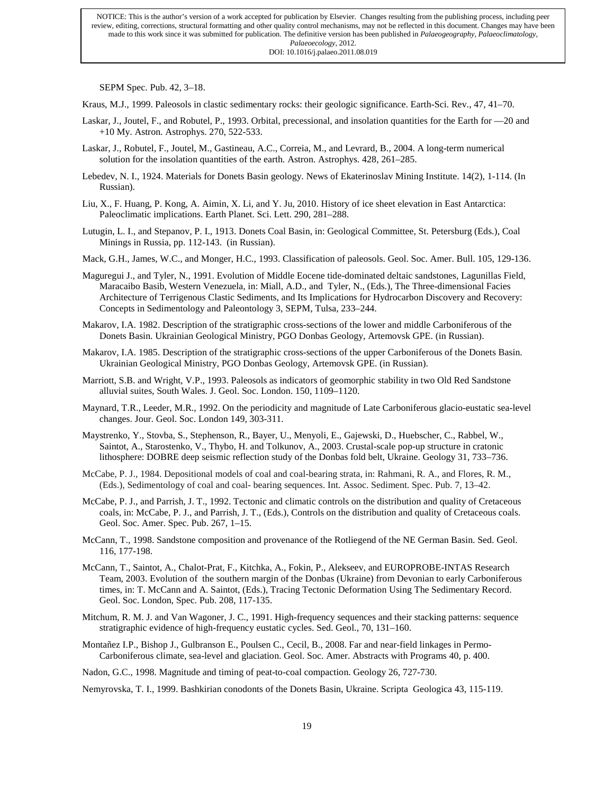SEPM Spec. Pub. 42, 3–18.

Kraus, M.J., 1999. Paleosols in clastic sedimentary rocks: their geologic significance. Earth-Sci. Rev., 47, 41–70.

- Laskar, J., Joutel, F., and Robutel, P., 1993. Orbital, precessional, and insolation quantities for the Earth for —20 and +10 My. Astron. Astrophys. 270, 522-533.
- Laskar, J., Robutel, F., Joutel, M., Gastineau, A.C., Correia, M., and Levrard, B., 2004. A long-term numerical solution for the insolation quantities of the earth. Astron. Astrophys. 428, 261–285.
- Lebedev, N. I., 1924. Materials for Donets Basin geology. News of Ekaterinoslav Mining Institute. 14(2), 1-114. (In Russian).
- Liu, X., F. Huang, P. Kong, A. Aimin, X. Li, and Y. Ju, 2010. History of ice sheet elevation in East Antarctica: Paleoclimatic implications. Earth Planet. Sci. Lett. 290, 281–288.
- Lutugin, L. I., and Stepanov, P. I., 1913. Donets Coal Basin, in: Geological Committee, St. Petersburg (Eds.), Coal Minings in Russia, pp. 112-143. (in Russian).
- Mack, G.H., James, W.C., and Monger, H.C., 1993. Classification of paleosols. Geol. Soc. Amer. Bull. 105, 129-136.
- Maguregui J., and Tyler, N., 1991. Evolution of Middle Eocene tide-dominated deltaic sandstones, Lagunillas Field, Maracaibo Basib, Western Venezuela, in: Miall, A.D., and Tyler, N., (Eds.), The Three-dimensional Facies Architecture of Terrigenous Clastic Sediments, and Its Implications for Hydrocarbon Discovery and Recovery: Concepts in Sedimentology and Paleontology 3, SEPM, Tulsa, 233–244.
- Makarov, I.A. 1982. Description of the stratigraphic cross-sections of the lower and middle Carboniferous of the Donets Basin. Ukrainian Geological Ministry, PGO Donbas Geology, Artemovsk GPE. (in Russian).
- Makarov, I.A. 1985. Description of the stratigraphic cross-sections of the upper Carboniferous of the Donets Basin. Ukrainian Geological Ministry, PGO Donbas Geology, Artemovsk GPE. (in Russian).
- Marriott, S.B. and Wright, V.P., 1993. Paleosols as indicators of geomorphic stability in two Old Red Sandstone alluvial suites, South Wales. J. Geol. Soc. London. 150, 1109–1120.
- Maynard, T.R., Leeder, M.R., 1992. On the periodicity and magnitude of Late Carboniferous glacio-eustatic sea-level changes. Jour. Geol. Soc. London 149, 303-311.
- Maystrenko, Y., Stovba, S., Stephenson, R., Bayer, U., Menyoli, E., Gajewski, D., Huebscher, C., Rabbel, W., Saintot, A., Starostenko, V., Thybo, H. and Tolkunov, A., 2003. Crustal-scale pop-up structure in cratonic lithosphere: DOBRE deep seismic reflection study of the Donbas fold belt, Ukraine. Geology 31, 733–736.
- McCabe, P. J., 1984. Depositional models of coal and coal-bearing strata, in: Rahmani, R. A., and Flores, R. M., (Eds.), Sedimentology of coal and coal- bearing sequences. Int. Assoc. Sediment. Spec. Pub. 7, 13–42.
- McCabe, P. J., and Parrish, J. T., 1992. Tectonic and climatic controls on the distribution and quality of Cretaceous coals, in: McCabe, P. J., and Parrish, J. T., (Eds.), Controls on the distribution and quality of Cretaceous coals. Geol. Soc. Amer. Spec. Pub. 267, 1–15.
- McCann, T., 1998. Sandstone composition and provenance of the Rotliegend of the NE German Basin. Sed. Geol. 116, 177-198.
- McCann, T., Saintot, A., Chalot-Prat, F., Kitchka, A., Fokin, P., Alekseev, and EUROPROBE-INTAS Research Team, 2003. Evolution of the southern margin of the Donbas (Ukraine) from Devonian to early Carboniferous times, in: T. McCann and A. Saintot, (Eds.), Tracing Tectonic Deformation Using The Sedimentary Record. Geol. Soc. London, Spec. Pub. 208, 117-135.
- Mitchum, R. M. J. and Van Wagoner, J. C., 1991. High-frequency sequences and their stacking patterns: sequence stratigraphic evidence of high-frequency eustatic cycles. Sed. Geol., 70, 131–160.
- Montañez I.P., Bishop J., Gulbranson E., Poulsen C., Cecil, B., 2008. Far and near-field linkages in Permo-Carboniferous climate, sea-level and glaciation. Geol. Soc. Amer. Abstracts with Programs 40, p. 400.
- Nadon, G.C., 1998. Magnitude and timing of peat-to-coal compaction. Geology 26, 727-730.

Nemyrovska, T. I., 1999. Bashkirian conodonts of the Donets Basin, Ukraine. Scripta Geologica 43, 115-119.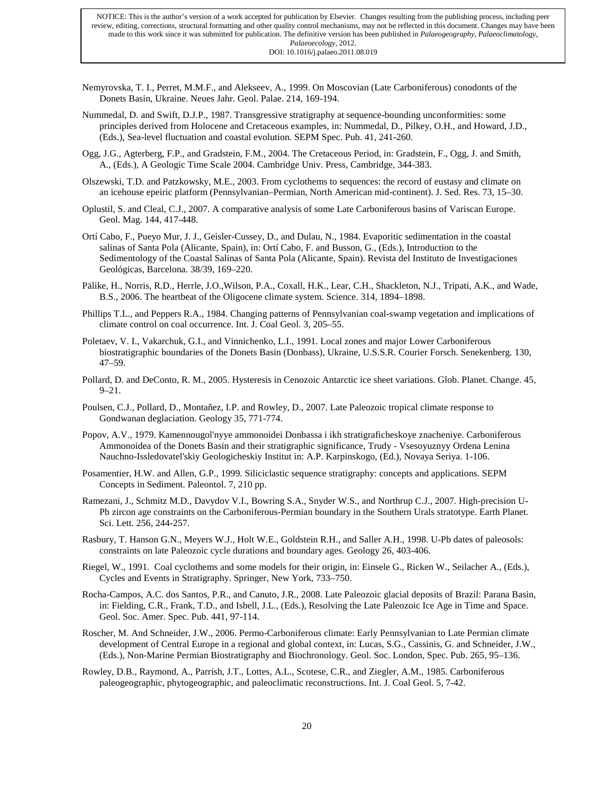- Nemyrovska, T. I., Perret, M.M.F., and Alekseev, A., 1999. On Moscovian (Late Carboniferous) conodonts of the Donets Basin, Ukraine. Neues Jahr. Geol. Palae. 214, 169-194.
- Nummedal, D. and Swift, D.J.P., 1987. Transgressive stratigraphy at sequence-bounding unconformities: some principles derived from Holocene and Cretaceous examples, in: Nummedal, D., Pilkey, O.H., and Howard, J.D., (Eds.), Sea-level fluctuation and coastal evolution. SEPM Spec. Pub. 41, 241-260.
- Ogg, J.G., Agterberg, F.P., and Gradstein, F.M., 2004. The Cretaceous Period, in: Gradstein, F., Ogg, J. and Smith, A., (Eds.), A Geologic Time Scale 2004. Cambridge Univ. Press, Cambridge, 344-383.
- Olszewski, T.D. and Patzkowsky, M.E., 2003. From cyclothems to sequences: the record of eustasy and climate on an icehouse epeiric platform (Pennsylvanian–Permian, North American mid-continent). J. Sed. Res. 73, 15–30.
- Oplustil, S. and Cleal, C.J., 2007. A comparative analysis of some Late Carboniferous basins of Variscan Europe. Geol. Mag. 144, 417-448.
- Ortí Cabo, F., Pueyo Mur, J. J., Geisler-Cussey, D., and Dulau, N., 1984. Evaporitic sedimentation in the coastal salinas of Santa Pola (Alicante, Spain), in: Ortí Cabo, F. and Busson, G., (Eds.), Introduction to the Sedimentology of the Coastal Salinas of Santa Pola (Alicante, Spain). Revista del Instituto de Investigaciones Geológicas, Barcelona. 38/39, 169–220.
- Pälike, H., Norris, R.D., Herrle, J.O.,Wilson, P.A., Coxall, H.K., Lear, C.H., Shackleton, N.J., Tripati, A.K., and Wade, B.S., 2006. The heartbeat of the Oligocene climate system. Science. 314, 1894–1898.
- Phillips T.L., and Peppers R.A., 1984. Changing patterns of Pennsylvanian coal-swamp vegetation and implications of climate control on coal occurrence. Int. J. Coal Geol. 3, 205–55.
- Poletaev, V. I., Vakarchuk, G.I., and Vinnichenko, L.I., 1991. Local zones and major Lower Carboniferous biostratigraphic boundaries of the Donets Basin (Donbass), Ukraine, U.S.S.R. Courier Forsch. Senekenberg. 130, 47–59.
- Pollard, D. and DeConto, R. M., 2005. Hysteresis in Cenozoic Antarctic ice sheet variations. Glob. Planet. Change. 45,  $9 - 21$ .
- Poulsen, C.J., Pollard, D., Montañez, I.P. and Rowley, D., 2007. Late Paleozoic tropical climate response to Gondwanan deglaciation. Geology 35, 771-774.
- Popov, A.V., 1979. Kamennougol'nyye ammonoidei Donbassa i ikh stratigraficheskoye znacheniye. Carboniferous Ammonoidea of the Donets Basin and their stratigraphic significance, Trudy - Vsesoyuznyy Ordena Lenina Nauchno-Issledovatel'skiy Geologicheskiy Institut in: A.P. Karpinskogo, (Ed.), Novaya Seriya. 1-106.
- Posamentier, H.W. and Allen, G.P., 1999. Siliciclastic sequence stratigraphy: concepts and applications. SEPM Concepts in Sediment. Paleontol. 7, 210 pp.
- Ramezani, J., Schmitz M.D., Davydov V.I., Bowring S.A., Snyder W.S., and Northrup C.J., 2007. High-precision U-Pb zircon age constraints on the Carboniferous-Permian boundary in the Southern Urals stratotype. Earth Planet. Sci. Lett. 256, 244-257.
- Rasbury, T. Hanson G.N., Meyers W.J., Holt W.E., Goldstein R.H., and Saller A.H., 1998. U-Pb dates of paleosols: constraints on late Paleozoic cycle durations and boundary ages. Geology 26, 403-406.
- Riegel, W., 1991. Coal cyclothems and some models for their origin, in: Einsele G., Ricken W., Seilacher A., (Eds.), Cycles and Events in Stratigraphy. Springer, New York, 733–750.
- Rocha-Campos, A.C. dos Santos, P.R., and Canuto, J.R., 2008. Late Paleozoic glacial deposits of Brazil: Parana Basin, in: Fielding, C.R., Frank, T.D., and Isbell, J.L., (Eds.), Resolving the Late Paleozoic Ice Age in Time and Space. Geol. Soc. Amer. Spec. Pub. 441, 97-114.
- Roscher, M. And Schneider, J.W., 2006. Permo-Carboniferous climate: Early Pennsylvanian to Late Permian climate development of Central Europe in a regional and global context, in: Lucas, S.G., Cassinis, G. and Schneider, J.W., (Eds.), Non-Marine Permian Biostratigraphy and Biochronology. Geol. Soc. London, Spec. Pub. 265, 95–136.
- Rowley, D.B., Raymond, A., Parrish, J.T., Lottes, A.L., Scotese, C.R., and Ziegler, A.M., 1985. Carboniferous paleogeographic, phytogeographic, and paleoclimatic reconstructions. Int. J. Coal Geol. 5, 7-42.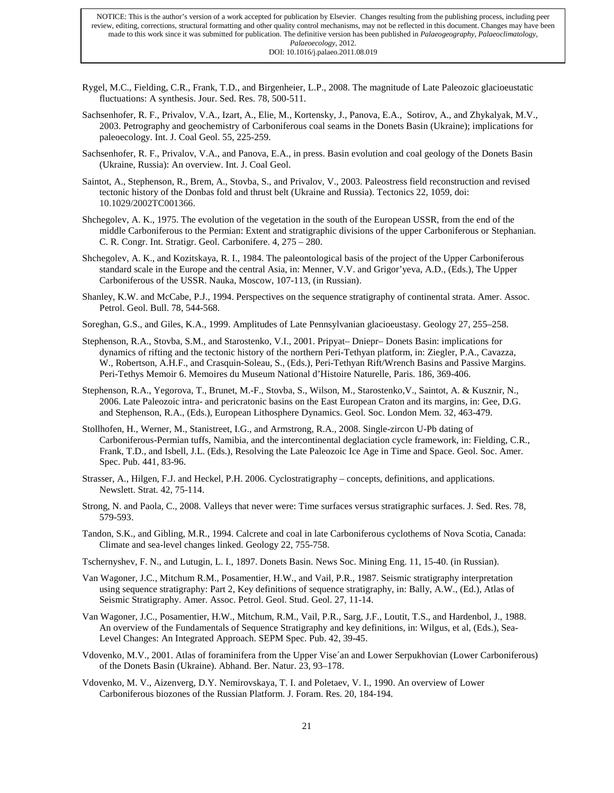- Rygel, M.C., Fielding, C.R., Frank, T.D., and Birgenheier, L.P., 2008. The magnitude of Late Paleozoic glacioeustatic fluctuations: A synthesis. Jour. Sed. Res. 78, 500-511.
- Sachsenhofer, R. F., Privalov, V.A., Izart, A., Elie, M., Kortensky, J., Panova, E.A., Sotirov, A., and Zhykalyak, M.V., 2003. Petrography and geochemistry of Carboniferous coal seams in the Donets Basin (Ukraine); implications for paleoecology. Int. J. Coal Geol. 55, 225-259.
- Sachsenhofer, R. F., Privalov, V.A., and Panova, E.A., in press. Basin evolution and coal geology of the Donets Basin (Ukraine, Russia): An overview. Int. J. Coal Geol.
- Saintot, A., Stephenson, R., Brem, A., Stovba, S., and Privalov, V., 2003. Paleostress field reconstruction and revised tectonic history of the Donbas fold and thrust belt (Ukraine and Russia). Tectonics 22, 1059, doi: 10.1029/2002TC001366.
- Shchegolev, A. K., 1975. The evolution of the vegetation in the south of the European USSR, from the end of the middle Carboniferous to the Permian: Extent and stratigraphic divisions of the upper Carboniferous or Stephanian. C. R. Congr. Int. Stratigr. Geol. Carbonifere. 4, 275 – 280.
- Shchegolev, A. K., and Kozitskaya, R. I., 1984. The paleontological basis of the project of the Upper Carboniferous standard scale in the Europe and the central Asia, in: Menner, V.V. and Grigor'yeva, A.D., (Eds.), The Upper Carboniferous of the USSR. Nauka, Moscow, 107-113, (in Russian).
- Shanley, K.W. and McCabe, P.J., 1994. Perspectives on the sequence stratigraphy of continental strata. Amer. Assoc. Petrol. Geol. Bull. 78, 544-568.
- Soreghan, G.S., and Giles, K.A., 1999. Amplitudes of Late Pennsylvanian glacioeustasy. Geology 27, 255–258.
- Stephenson, R.A., Stovba, S.M., and Starostenko, V.I., 2001. Pripyat– Dniepr– Donets Basin: implications for dynamics of rifting and the tectonic history of the northern Peri-Tethyan platform, in: Ziegler, P.A., Cavazza, W., Robertson, A.H.F., and Crasquin-Soleau, S., (Eds.), Peri-Tethyan Rift/Wrench Basins and Passive Margins. Peri-Tethys Memoir 6. Memoires du Museum National d'Histoire Naturelle, Paris. 186, 369-406.
- Stephenson, R.A., Yegorova, T., Brunet, M.-F., Stovba, S., Wilson, M., Starostenko,V., Saintot, A. & Kusznir, N., 2006. Late Paleozoic intra- and pericratonic basins on the East European Craton and its margins, in: Gee, D.G. and Stephenson, R.A., (Eds.), European Lithosphere Dynamics. Geol. Soc. London Mem. 32, 463-479.
- Stollhofen, H., Werner, M., Stanistreet, I.G., and Armstrong, R.A., 2008. Single-zircon U-Pb dating of Carboniferous-Permian tuffs, Namibia, and the intercontinental deglaciation cycle framework, in: Fielding, C.R., Frank, T.D., and Isbell, J.L. (Eds.), Resolving the Late Paleozoic Ice Age in Time and Space. Geol. Soc. Amer. Spec. Pub. 441, 83-96.
- Strasser, A., Hilgen, F.J. and Heckel, P.H. 2006. Cyclostratigraphy concepts, definitions, and applications. Newslett. Strat. 42, 75-114.
- Strong, N. and Paola, C., 2008. Valleys that never were: Time surfaces versus stratigraphic surfaces. J. Sed. Res. 78, 579-593.
- Tandon, S.K., and Gibling, M.R., 1994. Calcrete and coal in late Carboniferous cyclothems of Nova Scotia, Canada: Climate and sea-level changes linked. Geology 22, 755-758.
- Tschernyshev, F. N., and Lutugin, L. I., 1897. Donets Basin. News Soc. Mining Eng. 11, 15-40. (in Russian).
- Van Wagoner, J.C., Mitchum R.M., Posamentier, H.W., and Vail, P.R., 1987. Seismic stratigraphy interpretation using sequence stratigraphy: Part 2, Key definitions of sequence stratigraphy, in: Bally, A.W., (Ed.), Atlas of Seismic Stratigraphy. Amer. Assoc. Petrol. Geol. Stud. Geol. 27, 11-14.
- Van Wagoner, J.C., Posamentier, H.W., Mitchum, R.M., Vail, P.R., Sarg, J.F., Loutit, T.S., and Hardenbol, J., 1988. An overview of the Fundamentals of Sequence Stratigraphy and key definitions, in: Wilgus, et al, (Eds.), Sea-Level Changes: An Integrated Approach. SEPM Spec. Pub. 42, 39-45.
- Vdovenko, M.V., 2001. Atlas of foraminifera from the Upper Vise´an and Lower Serpukhovian (Lower Carboniferous) of the Donets Basin (Ukraine). Abhand. Ber. Natur. 23, 93–178.
- Vdovenko, M. V., Aizenverg, D.Y. Nemirovskaya, T. I. and Poletaev, V. I., 1990. An overview of Lower Carboniferous biozones of the Russian Platform. J. Foram. Res. 20, 184-194.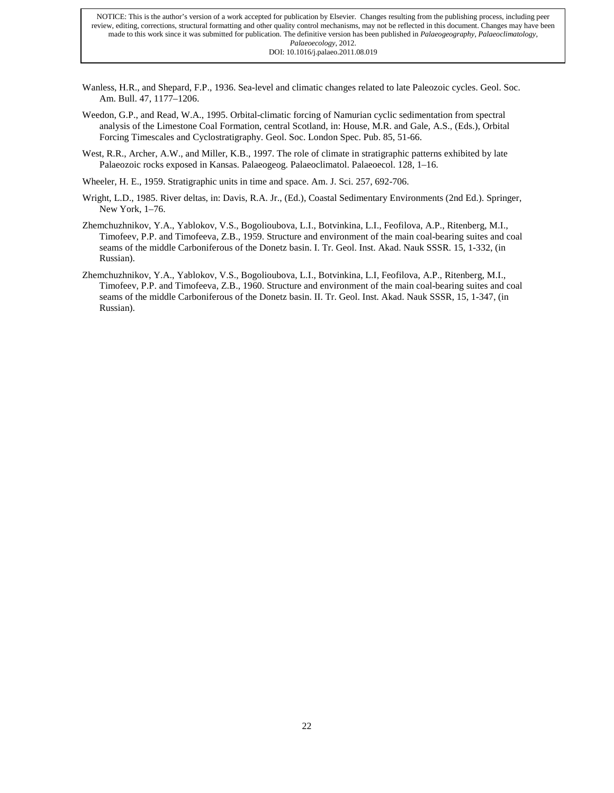- Wanless, H.R., and Shepard, F.P., 1936. Sea-level and climatic changes related to late Paleozoic cycles. Geol. Soc. Am. Bull. 47, 1177–1206.
- Weedon, G.P., and Read, W.A., 1995. Orbital-climatic forcing of Namurian cyclic sedimentation from spectral analysis of the Limestone Coal Formation, central Scotland, in: House, M.R. and Gale, A.S., (Eds.), Orbital Forcing Timescales and Cyclostratigraphy. Geol. Soc. London Spec. Pub. 85, 51-66.
- West, R.R., Archer, A.W., and Miller, K.B., 1997. The role of climate in stratigraphic patterns exhibited by late Palaeozoic rocks exposed in Kansas. Palaeogeog. Palaeoclimatol. Palaeoecol. 128, 1–16.

Wheeler, H. E., 1959. Stratigraphic units in time and space. Am. J. Sci. 257, 692-706.

- Wright, L.D., 1985. River deltas, in: Davis, R.A. Jr., (Ed.), Coastal Sedimentary Environments (2nd Ed.). Springer, New York, 1–76.
- Zhemchuzhnikov, Y.A., Yablokov, V.S., Bogolioubova, L.I., Botvinkina, L.I., Feofilova, A.P., Ritenberg, M.I., Timofeev, P.P. and Timofeeva, Z.B., 1959. Structure and environment of the main coal-bearing suites and coal seams of the middle Carboniferous of the Donetz basin. I. Tr. Geol. Inst. Akad. Nauk SSSR. 15, 1-332, (in Russian).
- Zhemchuzhnikov, Y.A., Yablokov, V.S., Bogolioubova, L.I., Botvinkina, L.I, Feofilova, A.P., Ritenberg, M.I., Timofeev, P.P. and Timofeeva, Z.B., 1960. Structure and environment of the main coal-bearing suites and coal seams of the middle Carboniferous of the Donetz basin. II. Tr. Geol. Inst. Akad. Nauk SSSR, 15, 1-347, (in Russian).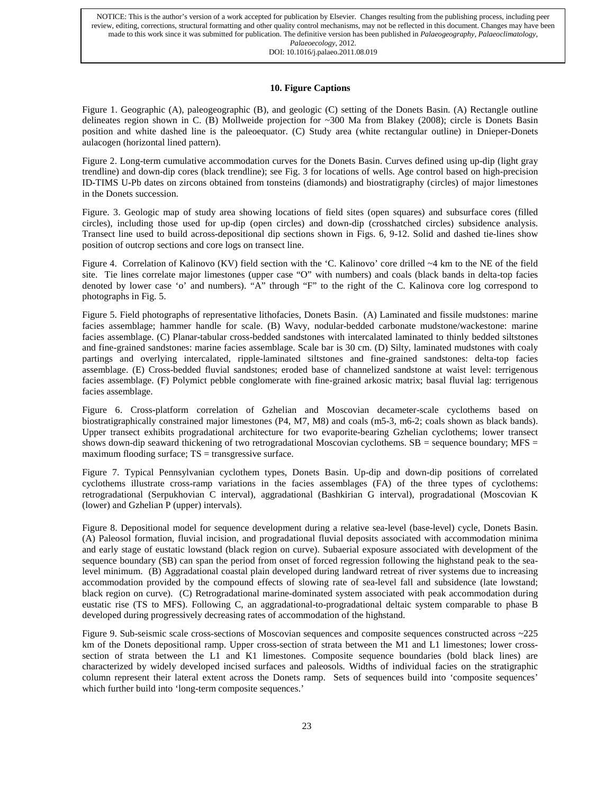DOI: 10.1016/j.palaeo.2011.08.019

# **10. Figure Captions**

Figure 1. Geographic (A), paleogeographic (B), and geologic (C) setting of the Donets Basin. (A) Rectangle outline delineates region shown in C. (B) Mollweide projection for ~300 Ma from Blakey (2008); circle is Donets Basin position and white dashed line is the paleoequator. (C) Study area (white rectangular outline) in Dnieper-Donets aulacogen (horizontal lined pattern).

Figure 2. Long-term cumulative accommodation curves for the Donets Basin. Curves defined using up-dip (light gray trendline) and down-dip cores (black trendline); see Fig. 3 for locations of wells. Age control based on high-precision ID-TIMS U-Pb dates on zircons obtained from tonsteins (diamonds) and biostratigraphy (circles) of major limestones in the Donets succession.

Figure. 3. Geologic map of study area showing locations of field sites (open squares) and subsurface cores (filled circles), including those used for up-dip (open circles) and down-dip (crosshatched circles) subsidence analysis. Transect line used to build across-depositional dip sections shown in Figs. 6, 9-12. Solid and dashed tie-lines show position of outcrop sections and core logs on transect line.

Figure 4. Correlation of Kalinovo (KV) field section with the 'C. Kalinovo' core drilled ~4 km to the NE of the field site. Tie lines correlate major limestones (upper case "O" with numbers) and coals (black bands in delta-top facies denoted by lower case 'o' and numbers). "A" through "F" to the right of the C. Kalinova core log correspond to photographs in Fig. 5.

Figure 5. Field photographs of representative lithofacies, Donets Basin. (A) Laminated and fissile mudstones: marine facies assemblage; hammer handle for scale. (B) Wavy, nodular-bedded carbonate mudstone/wackestone: marine facies assemblage. (C) Planar-tabular cross-bedded sandstones with intercalated laminated to thinly bedded siltstones and fine-grained sandstones: marine facies assemblage. Scale bar is 30 cm. (D) Silty, laminated mudstones with coaly partings and overlying intercalated, ripple-laminated siltstones and fine-grained sandstones: delta-top facies assemblage. (E) Cross-bedded fluvial sandstones; eroded base of channelized sandstone at waist level: terrigenous facies assemblage. (F) Polymict pebble conglomerate with fine-grained arkosic matrix; basal fluvial lag: terrigenous facies assemblage.

Figure 6. Cross-platform correlation of Gzhelian and Moscovian decameter-scale cyclothems based on biostratigraphically constrained major limestones (P4, M7, M8) and coals (m5-3, m6-2; coals shown as black bands). Upper transect exhibits progradational architecture for two evaporite-bearing Gzhelian cyclothems; lower transect shows down-dip seaward thickening of two retrogradational Moscovian cyclothems.  $SB =$  sequence boundary; MFS  $=$ maximum flooding surface;  $TS = \text{transgressive surface}$ .

Figure 7. Typical Pennsylvanian cyclothem types, Donets Basin. Up-dip and down-dip positions of correlated cyclothems illustrate cross-ramp variations in the facies assemblages (FA) of the three types of cyclothems: retrogradational (Serpukhovian C interval), aggradational (Bashkirian G interval), progradational (Moscovian K (lower) and Gzhelian P (upper) intervals).

Figure 8. Depositional model for sequence development during a relative sea-level (base-level) cycle, Donets Basin. (A) Paleosol formation, fluvial incision, and progradational fluvial deposits associated with accommodation minima and early stage of eustatic lowstand (black region on curve). Subaerial exposure associated with development of the sequence boundary (SB) can span the period from onset of forced regression following the highstand peak to the sealevel minimum. (B) Aggradational coastal plain developed during landward retreat of river systems due to increasing accommodation provided by the compound effects of slowing rate of sea-level fall and subsidence (late lowstand; black region on curve). (C) Retrogradational marine-dominated system associated with peak accommodation during eustatic rise (TS to MFS). Following C, an aggradational-to-progradational deltaic system comparable to phase B developed during progressively decreasing rates of accommodation of the highstand.

Figure 9. Sub-seismic scale cross-sections of Moscovian sequences and composite sequences constructed across ~225 km of the Donets depositional ramp. Upper cross-section of strata between the M1 and L1 limestones; lower crosssection of strata between the L1 and K1 limestones. Composite sequence boundaries (bold black lines) are characterized by widely developed incised surfaces and paleosols. Widths of individual facies on the stratigraphic column represent their lateral extent across the Donets ramp. Sets of sequences build into 'composite sequences' which further build into 'long-term composite sequences.'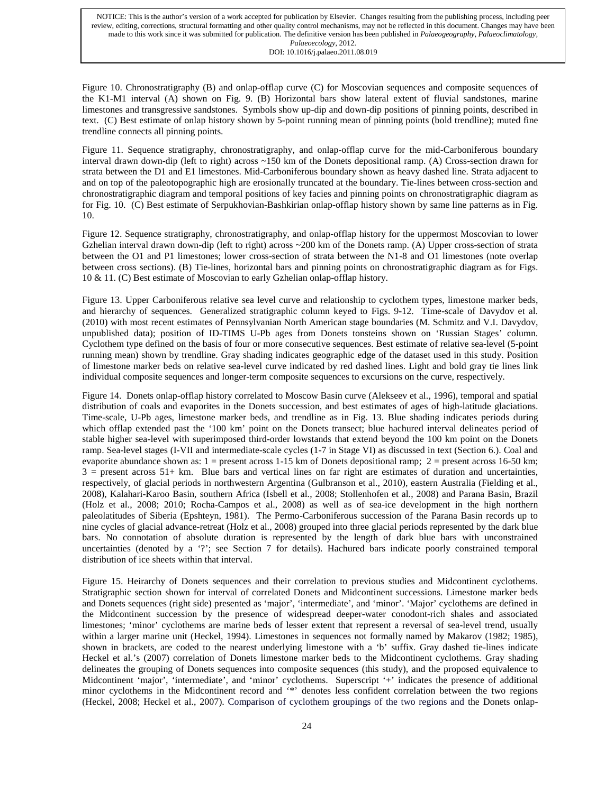Figure 10. Chronostratigraphy (B) and onlap-offlap curve (C) for Moscovian sequences and composite sequences of the K1-M1 interval (A) shown on Fig. 9. (B) Horizontal bars show lateral extent of fluvial sandstones, marine limestones and transgressive sandstones. Symbols show up-dip and down-dip positions of pinning points, described in text. (C) Best estimate of onlap history shown by 5-point running mean of pinning points (bold trendline); muted fine trendline connects all pinning points.

Figure 11. Sequence stratigraphy, chronostratigraphy, and onlap-offlap curve for the mid-Carboniferous boundary interval drawn down-dip (left to right) across ~150 km of the Donets depositional ramp. (A) Cross-section drawn for strata between the D1 and E1 limestones. Mid-Carboniferous boundary shown as heavy dashed line. Strata adjacent to and on top of the paleotopographic high are erosionally truncated at the boundary. Tie-lines between cross-section and chronostratigraphic diagram and temporal positions of key facies and pinning points on chronostratigraphic diagram as for Fig. 10. (C) Best estimate of Serpukhovian-Bashkirian onlap-offlap history shown by same line patterns as in Fig. 10.

Figure 12. Sequence stratigraphy, chronostratigraphy, and onlap-offlap history for the uppermost Moscovian to lower Gzhelian interval drawn down-dip (left to right) across ~200 km of the Donets ramp. (A) Upper cross-section of strata between the O1 and P1 limestones; lower cross-section of strata between the N1-8 and O1 limestones (note overlap between cross sections). (B) Tie-lines, horizontal bars and pinning points on chronostratigraphic diagram as for Figs. 10 & 11. (C) Best estimate of Moscovian to early Gzhelian onlap-offlap history.

Figure 13. Upper Carboniferous relative sea level curve and relationship to cyclothem types, limestone marker beds, and hierarchy of sequences. Generalized stratigraphic column keyed to Figs. 9-12. Time-scale of Davydov et al. (2010) with most recent estimates of Pennsylvanian North American stage boundaries (M. Schmitz and V.I. Davydov, unpublished data); position of ID-TIMS U-Pb ages from Donets tonsteins shown on 'Russian Stages' column. Cyclothem type defined on the basis of four or more consecutive sequences. Best estimate of relative sea-level (5-point running mean) shown by trendline. Gray shading indicates geographic edge of the dataset used in this study. Position of limestone marker beds on relative sea-level curve indicated by red dashed lines. Light and bold gray tie lines link individual composite sequences and longer-term composite sequences to excursions on the curve, respectively.

Figure 14. Donets onlap-offlap history correlated to Moscow Basin curve (Alekseev et al., 1996), temporal and spatial distribution of coals and evaporites in the Donets succession, and best estimates of ages of high-latitude glaciations. Time-scale, U-Pb ages, limestone marker beds, and trendline as in Fig. 13. Blue shading indicates periods during which offlap extended past the '100 km' point on the Donets transect; blue hachured interval delineates period of stable higher sea-level with superimposed third-order lowstands that extend beyond the 100 km point on the Donets ramp. Sea-level stages (I-VII and intermediate-scale cycles (1-7 in Stage VI) as discussed in text (Section 6.). Coal and evaporite abundance shown as:  $1 =$  present across 1-15 km of Donets depositional ramp;  $2 =$  present across 16-50 km;  $3 =$  present across  $51+$  km. Blue bars and vertical lines on far right are estimates of duration and uncertainties, respectively, of glacial periods in northwestern Argentina (Gulbranson et al., 2010), eastern Australia (Fielding et al., 2008), Kalahari-Karoo Basin, southern Africa (Isbell et al., 2008; Stollenhofen et al., 2008) and Parana Basin, Brazil (Holz et al., 2008; 2010; Rocha-Campos et al., 2008) as well as of sea-ice development in the high northern paleolatitudes of Siberia (Epshteyn, 1981). The Permo-Carboniferous succession of the Parana Basin records up to nine cycles of glacial advance-retreat (Holz et al., 2008) grouped into three glacial periods represented by the dark blue bars. No connotation of absolute duration is represented by the length of dark blue bars with unconstrained uncertainties (denoted by a '?'; see Section 7 for details). Hachured bars indicate poorly constrained temporal distribution of ice sheets within that interval.

Figure 15. Heirarchy of Donets sequences and their correlation to previous studies and Midcontinent cyclothems. Stratigraphic section shown for interval of correlated Donets and Midcontinent successions. Limestone marker beds and Donets sequences (right side) presented as 'major', 'intermediate', and 'minor'. 'Major' cyclothems are defined in the Midcontinent succession by the presence of widespread deeper-water conodont-rich shales and associated limestones; 'minor' cyclothems are marine beds of lesser extent that represent a reversal of sea-level trend, usually within a larger marine unit (Heckel, 1994). Limestones in sequences not formally named by Makarov (1982; 1985), shown in brackets, are coded to the nearest underlying limestone with a 'b' suffix. Gray dashed tie-lines indicate Heckel et al.'s (2007) correlation of Donets limestone marker beds to the Midcontinent cyclothems. Gray shading delineates the grouping of Donets sequences into composite sequences (this study), and the proposed equivalence to Midcontinent 'major', 'intermediate', and 'minor' cyclothems. Superscript '+' indicates the presence of additional minor cyclothems in the Midcontinent record and '\*' denotes less confident correlation between the two regions (Heckel, 2008; Heckel et al., 2007). Comparison of cyclothem groupings of the two regions and the Donets onlap-